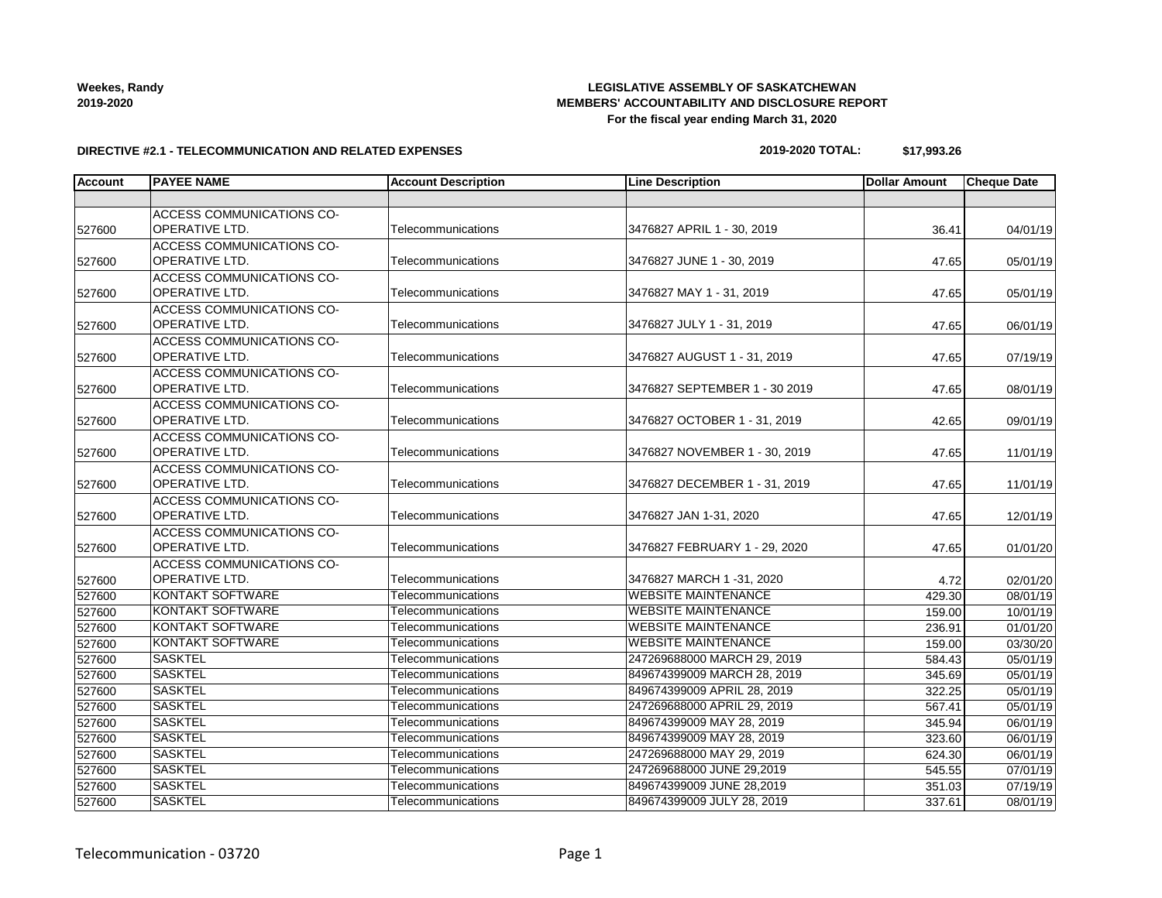## **LEGISLATIVE ASSEMBLY OF SASKATCHEWAN MEMBERS' ACCOUNTABILITY AND DISCLOSURE REPORT**

**For the fiscal year ending March 31, 2020**

**2019-2020 TOTAL: \$17,993.26**

| <b>Account</b> | <b>PAYEE NAME</b>                | <b>Account Description</b> | <b>Line Description</b>       | <b>Dollar Amount</b> | <b>Cheque Date</b> |
|----------------|----------------------------------|----------------------------|-------------------------------|----------------------|--------------------|
|                |                                  |                            |                               |                      |                    |
|                | <b>ACCESS COMMUNICATIONS CO-</b> |                            |                               |                      |                    |
| 527600         | <b>OPERATIVE LTD.</b>            | Telecommunications         | 3476827 APRIL 1 - 30, 2019    | 36.41                | 04/01/19           |
|                | <b>ACCESS COMMUNICATIONS CO-</b> |                            |                               |                      |                    |
| 527600         | OPERATIVE LTD.                   | Telecommunications         | 3476827 JUNE 1 - 30, 2019     | 47.65                | 05/01/19           |
|                | ACCESS COMMUNICATIONS CO-        |                            |                               |                      |                    |
| 527600         | <b>OPERATIVE LTD.</b>            | Telecommunications         | 3476827 MAY 1 - 31, 2019      | 47.65                | 05/01/19           |
|                | <b>ACCESS COMMUNICATIONS CO-</b> |                            |                               |                      |                    |
| 527600         | <b>OPERATIVE LTD.</b>            | Telecommunications         | 3476827 JULY 1 - 31, 2019     | 47.65                | 06/01/19           |
|                | <b>ACCESS COMMUNICATIONS CO-</b> |                            |                               |                      |                    |
| 527600         | <b>OPERATIVE LTD.</b>            | Telecommunications         | 3476827 AUGUST 1 - 31, 2019   | 47.65                | 07/19/19           |
|                | <b>ACCESS COMMUNICATIONS CO-</b> |                            |                               |                      |                    |
| 527600         | <b>OPERATIVE LTD.</b>            | Telecommunications         | 3476827 SEPTEMBER 1 - 30 2019 | 47.65                | 08/01/19           |
|                | ACCESS COMMUNICATIONS CO-        |                            |                               |                      |                    |
| 527600         | <b>OPERATIVE LTD.</b>            | Telecommunications         | 3476827 OCTOBER 1 - 31, 2019  | 42.65                | 09/01/19           |
|                | <b>ACCESS COMMUNICATIONS CO-</b> |                            |                               |                      |                    |
| 527600         | <b>OPERATIVE LTD.</b>            | Telecommunications         | 3476827 NOVEMBER 1 - 30, 2019 | 47.65                | 11/01/19           |
|                | <b>ACCESS COMMUNICATIONS CO-</b> |                            |                               |                      |                    |
| 527600         | <b>OPERATIVE LTD.</b>            | Telecommunications         | 3476827 DECEMBER 1 - 31, 2019 | 47.65                | 11/01/19           |
|                | <b>ACCESS COMMUNICATIONS CO-</b> |                            |                               |                      |                    |
| 527600         | OPERATIVE LTD.                   | Telecommunications         | 3476827 JAN 1-31, 2020        | 47.65                | 12/01/19           |
|                | ACCESS COMMUNICATIONS CO-        |                            |                               |                      |                    |
| 527600         | <b>OPERATIVE LTD.</b>            | Telecommunications         | 3476827 FEBRUARY 1 - 29, 2020 | 47.65                | 01/01/20           |
|                | <b>ACCESS COMMUNICATIONS CO-</b> |                            |                               |                      |                    |
| 527600         | <b>OPERATIVE LTD.</b>            | Telecommunications         | 3476827 MARCH 1 -31, 2020     | 4.72                 | 02/01/20           |
| 527600         | <b>KONTAKT SOFTWARE</b>          | Telecommunications         | <b>WEBSITE MAINTENANCE</b>    | 429.30               | 08/01/19           |
| 527600         | <b>KONTAKT SOFTWARE</b>          | Telecommunications         | <b>WEBSITE MAINTENANCE</b>    | 159.00               | 10/01/19           |
| 527600         | <b>KONTAKT SOFTWARE</b>          | Telecommunications         | <b>WEBSITE MAINTENANCE</b>    | 236.91               | 01/01/20           |
| 527600         | <b>KONTAKT SOFTWARE</b>          | Telecommunications         | <b>WEBSITE MAINTENANCE</b>    | 159.00               | 03/30/20           |
| 527600         | <b>SASKTEL</b>                   | Telecommunications         | 247269688000 MARCH 29, 2019   | 584.43               | 05/01/19           |
| 527600         | <b>SASKTEL</b>                   | Telecommunications         | 849674399009 MARCH 28, 2019   | 345.69               | 05/01/19           |
| 527600         | <b>SASKTEL</b>                   | Telecommunications         | 849674399009 APRIL 28, 2019   | 322.25               | 05/01/19           |
| 527600         | <b>SASKTEL</b>                   | Telecommunications         | 247269688000 APRIL 29, 2019   | 567.41               | 05/01/19           |
| 527600         | <b>SASKTEL</b>                   | Telecommunications         | 849674399009 MAY 28, 2019     | 345.94               | 06/01/19           |
| 527600         | <b>SASKTEL</b>                   | Telecommunications         | 849674399009 MAY 28, 2019     | 323.60               | 06/01/19           |
| 527600         | <b>SASKTEL</b>                   | <b>Telecommunications</b>  | 247269688000 MAY 29, 2019     | 624.30               | 06/01/19           |
| 527600         | <b>SASKTEL</b>                   | Telecommunications         | 247269688000 JUNE 29,2019     | 545.55               | 07/01/19           |
| 527600         | <b>SASKTEL</b>                   | Telecommunications         | 849674399009 JUNE 28,2019     | 351.03               | 07/19/19           |
| 527600         | <b>SASKTEL</b>                   | Telecommunications         | 849674399009 JULY 28, 2019    | 337.61               | 08/01/19           |

### **Weekes, Randy 2019-2020**

**DIRECTIVE #2.1 - TELECOMMUNICATION AND RELATED EXPENSES**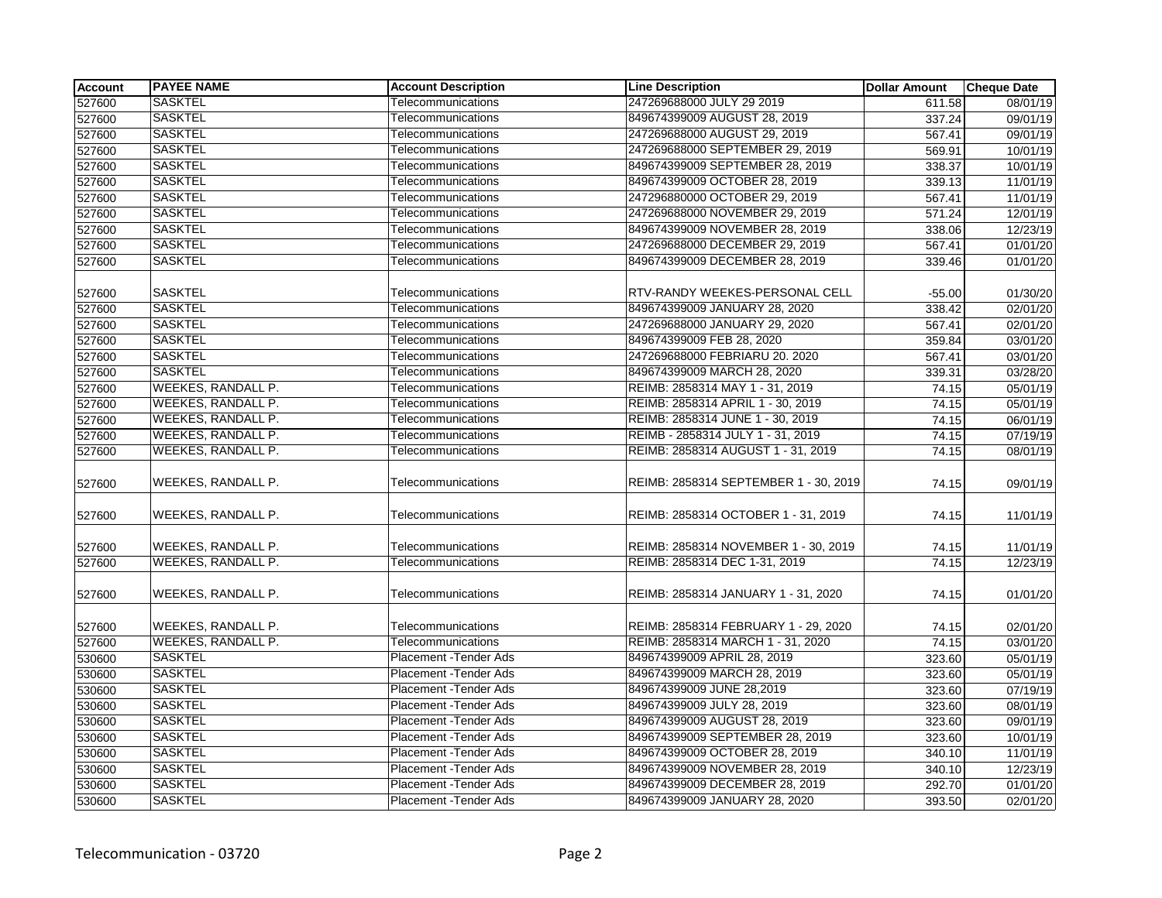| <b>Account</b> | <b>PAYEE NAME</b>         | <b>Account Description</b> | <b>Line Description</b>               | <b>Dollar Amount</b> | <b>Cheque Date</b> |
|----------------|---------------------------|----------------------------|---------------------------------------|----------------------|--------------------|
| 527600         | <b>SASKTEL</b>            | Telecommunications         | 247269688000 JULY 29 2019             | 611.58               | 08/01/19           |
| 527600         | <b>SASKTEL</b>            | Telecommunications         | 849674399009 AUGUST 28, 2019          | 337.24               | 09/01/19           |
| 527600         | <b>SASKTEL</b>            | Telecommunications         | 247269688000 AUGUST 29, 2019          | 567.41               | 09/01/19           |
| 527600         | <b>SASKTEL</b>            | Telecommunications         | 247269688000 SEPTEMBER 29, 2019       | 569.91               | 10/01/19           |
| 527600         | <b>SASKTEL</b>            | Telecommunications         | 849674399009 SEPTEMBER 28, 2019       | 338.37               | 10/01/19           |
| 527600         | <b>SASKTEL</b>            | Telecommunications         | 849674399009 OCTOBER 28, 2019         | 339.13               | 11/01/19           |
| 527600         | <b>SASKTEL</b>            | Telecommunications         | 247296880000 OCTOBER 29, 2019         | 567.41               | 11/01/19           |
| 527600         | <b>SASKTEL</b>            | Telecommunications         | 247269688000 NOVEMBER 29, 2019        | 571.24               | 12/01/19           |
| 527600         | <b>SASKTEL</b>            | Telecommunications         | 849674399009 NOVEMBER 28, 2019        | 338.06               | 12/23/19           |
| 527600         | <b>SASKTEL</b>            | Telecommunications         | 247269688000 DECEMBER 29, 2019        | 567.41               | 01/01/20           |
| 527600         | <b>SASKTEL</b>            | Telecommunications         | 849674399009 DECEMBER 28, 2019        | 339.46               | 01/01/20           |
|                |                           |                            |                                       |                      |                    |
| 527600         | <b>SASKTEL</b>            | Telecommunications         | RTV-RANDY WEEKES-PERSONAL CELL        | $-55.00$             | 01/30/20           |
| 527600         | <b>SASKTEL</b>            | Telecommunications         | 849674399009 JANUARY 28, 2020         | 338.42               | 02/01/20           |
| 527600         | <b>SASKTEL</b>            | Telecommunications         | 247269688000 JANUARY 29, 2020         | 567.41               | 02/01/20           |
| 527600         | <b>SASKTEL</b>            | Telecommunications         | 849674399009 FEB 28, 2020             | 359.84               | 03/01/20           |
| 527600         | <b>SASKTEL</b>            | Telecommunications         | 247269688000 FEBRIARU 20. 2020        | 567.41               | 03/01/20           |
| 527600         | <b>SASKTEL</b>            | Telecommunications         | 849674399009 MARCH 28, 2020           | 339.31               | 03/28/20           |
| 527600         | <b>WEEKES, RANDALL P.</b> | Telecommunications         | REIMB: 2858314 MAY 1 - 31, 2019       | 74.15                | 05/01/19           |
| 527600         | WEEKES, RANDALL P.        | Telecommunications         | REIMB: 2858314 APRIL 1 - 30, 2019     | 74.15                | 05/01/19           |
| 527600         | <b>WEEKES, RANDALL P.</b> | Telecommunications         | REIMB: 2858314 JUNE 1 - 30, 2019      | 74.15                | 06/01/19           |
| 527600         | <b>WEEKES, RANDALL P.</b> | Telecommunications         | REIMB - 2858314 JULY 1 - 31, 2019     | 74.15                | 07/19/19           |
| 527600         | WEEKES, RANDALL P.        | Telecommunications         | REIMB: 2858314 AUGUST 1 - 31, 2019    | 74.15                | 08/01/19           |
| 527600         | WEEKES, RANDALL P.        | Telecommunications         | REIMB: 2858314 SEPTEMBER 1 - 30, 2019 | 74.15                | 09/01/19           |
| 527600         | WEEKES, RANDALL P.        | Telecommunications         | REIMB: 2858314 OCTOBER 1 - 31, 2019   | 74.15                | 11/01/19           |
| 527600         | WEEKES, RANDALL P.        | Telecommunications         | REIMB: 2858314 NOVEMBER 1 - 30, 2019  | 74.15                | 11/01/19           |
| 527600         | <b>WEEKES, RANDALL P.</b> | Telecommunications         | REIMB: 2858314 DEC 1-31, 2019         | 74.15                | 12/23/19           |
| 527600         | <b>WEEKES, RANDALL P.</b> | Telecommunications         | REIMB: 2858314 JANUARY 1 - 31, 2020   | 74.15                | 01/01/20           |
| 527600         | <b>WEEKES, RANDALL P.</b> | Telecommunications         | REIMB: 2858314 FEBRUARY 1 - 29, 2020  | 74.15                | 02/01/20           |
| 527600         | <b>WEEKES, RANDALL P.</b> | Telecommunications         | REIMB: 2858314 MARCH 1 - 31, 2020     | 74.15                | 03/01/20           |
| 530600         | <b>SASKTEL</b>            | Placement - Tender Ads     | 849674399009 APRIL 28, 2019           | 323.60               | 05/01/19           |
| 530600         | <b>SASKTEL</b>            | Placement - Tender Ads     | 849674399009 MARCH 28, 2019           | 323.60               | 05/01/19           |
| 530600         | <b>SASKTEL</b>            | Placement - Tender Ads     | 849674399009 JUNE 28,2019             | 323.60               | 07/19/19           |
| 530600         | <b>SASKTEL</b>            | Placement - Tender Ads     | 849674399009 JULY 28, 2019            | 323.60               | 08/01/19           |
| 530600         | <b>SASKTEL</b>            | Placement - Tender Ads     | 849674399009 AUGUST 28, 2019          | 323.60               | 09/01/19           |
| 530600         | <b>SASKTEL</b>            | Placement - Tender Ads     | 849674399009 SEPTEMBER 28, 2019       | 323.60               | 10/01/19           |
| 530600         | <b>SASKTEL</b>            | Placement - Tender Ads     | 849674399009 OCTOBER 28, 2019         | 340.10               | 11/01/19           |
| 530600         | <b>SASKTEL</b>            | Placement - Tender Ads     | 849674399009 NOVEMBER 28, 2019        | 340.10               | 12/23/19           |
| 530600         | <b>SASKTEL</b>            | Placement - Tender Ads     | 849674399009 DECEMBER 28, 2019        | 292.70               | 01/01/20           |
| 530600         | <b>SASKTEL</b>            | Placement - Tender Ads     | 849674399009 JANUARY 28, 2020         | 393.50               | 02/01/20           |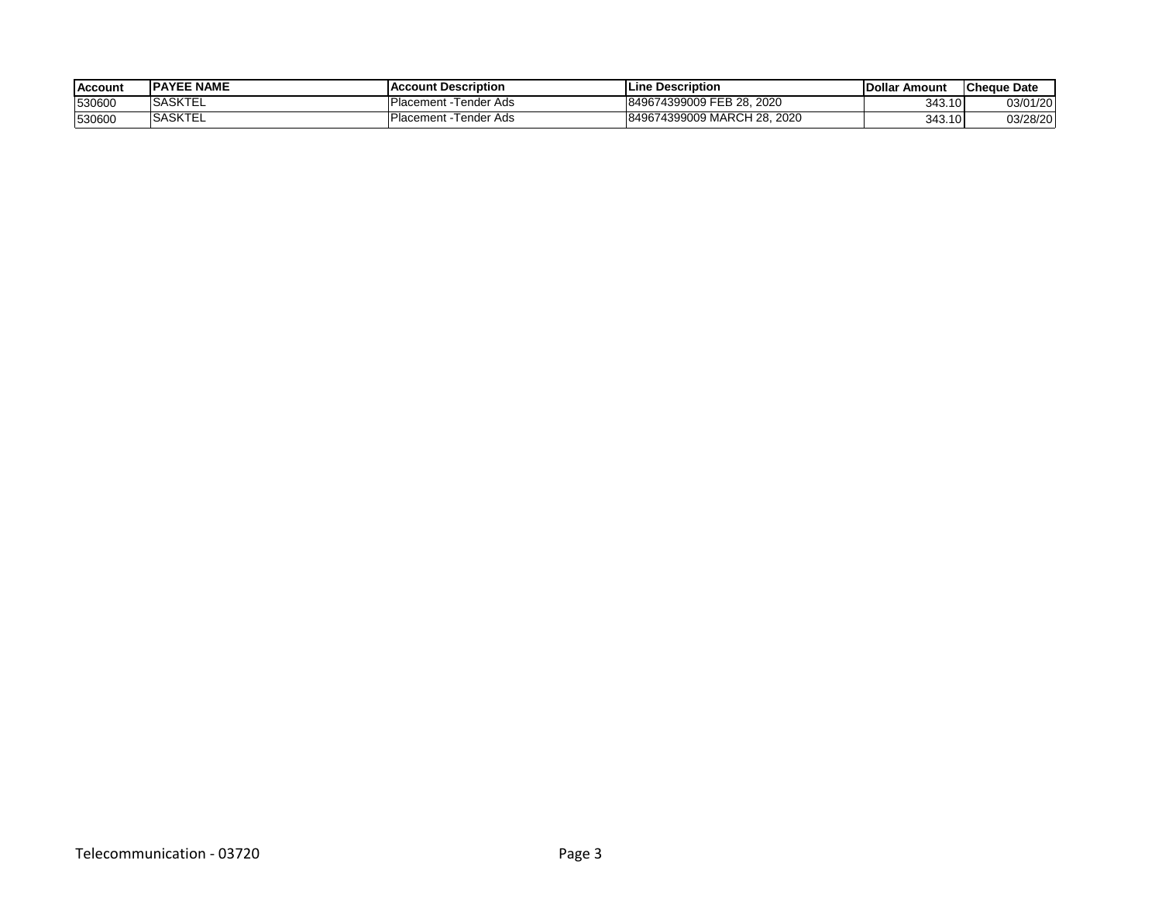| <b>Account</b> | <b>IPAYEE NAME</b> | <b>IAccount Description</b>  | lLine Description           | <b>IDollar</b><br><b>≀ Amount</b> | <b>ICheque Date</b> |
|----------------|--------------------|------------------------------|-----------------------------|-----------------------------------|---------------------|
| 530600         | <b>ISASKTEL</b>    | Placement<br>t -Tender Ads   | 849674399009 FEB 28, 2020   | 343.10                            | 03/01/20            |
| 530600         | <b>SASKTEL</b>     | t -Tender Ads<br>Placement - | 849674399009 MARCH 28, 2020 | 343.10                            | 03/28/20            |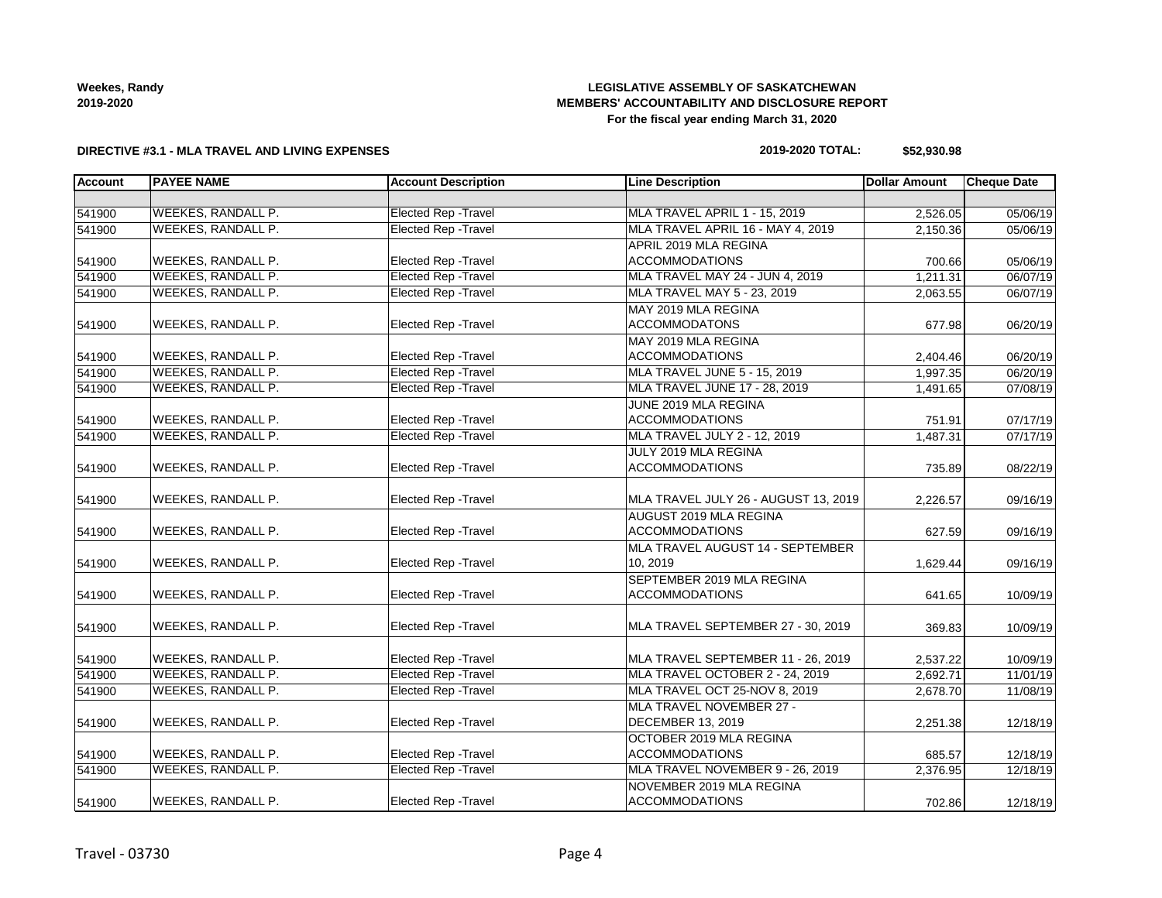### **Weekes, Randy 2019-2020**

### **LEGISLATIVE ASSEMBLY OF SASKATCHEWAN MEMBERS' ACCOUNTABILITY AND DISCLOSURE REPORT For the fiscal year ending March 31, 2020**

### **DIRECTIVE #3.1 - MLA TRAVEL AND LIVING EXPENSES**

### **2019-2020 TOTAL: \$52,930.98**

| <b>Account</b> | <b>PAYEE NAME</b>         | <b>Account Description</b>  | <b>Line Description</b>              | <b>Dollar Amount</b> | <b>Cheque Date</b> |
|----------------|---------------------------|-----------------------------|--------------------------------------|----------------------|--------------------|
|                |                           |                             |                                      |                      |                    |
| 541900         | <b>WEEKES, RANDALL P.</b> | <b>Elected Rep - Travel</b> | MLA TRAVEL APRIL 1 - 15, 2019        | 2,526.05             | 05/06/19           |
| 541900         | WEEKES, RANDALL P.        | <b>Elected Rep - Travel</b> | MLA TRAVEL APRIL 16 - MAY 4, 2019    | 2,150.36             | 05/06/19           |
|                |                           |                             | APRIL 2019 MLA REGINA                |                      |                    |
| 541900         | WEEKES, RANDALL P.        | <b>Elected Rep - Travel</b> | <b>ACCOMMODATIONS</b>                | 700.66               | 05/06/19           |
| 541900         | WEEKES, RANDALL P.        | <b>Elected Rep - Travel</b> | MLA TRAVEL MAY 24 - JUN 4, 2019      | 1,211.31             | 06/07/19           |
| 541900         | WEEKES, RANDALL P.        | <b>Elected Rep - Travel</b> | MLA TRAVEL MAY 5 - 23, 2019          | 2,063.55             | 06/07/19           |
|                |                           |                             | MAY 2019 MLA REGINA                  |                      |                    |
| 541900         | WEEKES, RANDALL P.        | Elected Rep - Travel        | <b>ACCOMMODATONS</b>                 | 677.98               | 06/20/19           |
|                |                           |                             | MAY 2019 MLA REGINA                  |                      |                    |
| 541900         | <b>WEEKES, RANDALL P.</b> | <b>Elected Rep - Travel</b> | <b>ACCOMMODATIONS</b>                | 2,404.46             | 06/20/19           |
| 541900         | <b>WEEKES, RANDALL P.</b> | <b>Elected Rep - Travel</b> | MLA TRAVEL JUNE 5 - 15, 2019         | 1.997.35             | 06/20/19           |
| 541900         | <b>WEEKES, RANDALL P.</b> | <b>Elected Rep - Travel</b> | MLA TRAVEL JUNE 17 - 28, 2019        | 1,491.65             | 07/08/19           |
|                |                           |                             | JUNE 2019 MLA REGINA                 |                      |                    |
| 541900         | <b>WEEKES, RANDALL P.</b> | <b>Elected Rep - Travel</b> | <b>ACCOMMODATIONS</b>                | 751.91               | 07/17/19           |
| 541900         | <b>WEEKES, RANDALL P.</b> | <b>Elected Rep - Travel</b> | MLA TRAVEL JULY 2 - 12, 2019         | 1,487.31             | 07/17/19           |
|                |                           |                             | JULY 2019 MLA REGINA                 |                      |                    |
| 541900         | WEEKES, RANDALL P.        | Elected Rep - Travel        | <b>ACCOMMODATIONS</b>                | 735.89               | 08/22/19           |
|                |                           |                             |                                      |                      |                    |
| 541900         | WEEKES, RANDALL P.        | Elected Rep - Travel        | MLA TRAVEL JULY 26 - AUGUST 13, 2019 | 2,226.57             | 09/16/19           |
|                |                           |                             | AUGUST 2019 MLA REGINA               |                      |                    |
| 541900         | WEEKES, RANDALL P.        | Elected Rep - Travel        | <b>ACCOMMODATIONS</b>                | 627.59               | 09/16/19           |
|                |                           |                             | MLA TRAVEL AUGUST 14 - SEPTEMBER     |                      |                    |
| 541900         | WEEKES, RANDALL P.        | Elected Rep - Travel        | 10, 2019                             | 1,629.44             | 09/16/19           |
|                |                           |                             | SEPTEMBER 2019 MLA REGINA            |                      |                    |
| 541900         | WEEKES, RANDALL P.        | <b>Elected Rep - Travel</b> | <b>ACCOMMODATIONS</b>                | 641.65               | 10/09/19           |
|                |                           |                             |                                      |                      |                    |
| 541900         | WEEKES, RANDALL P.        | <b>Elected Rep - Travel</b> | MLA TRAVEL SEPTEMBER 27 - 30, 2019   | 369.83               | 10/09/19           |
|                |                           |                             |                                      |                      |                    |
| 541900         | <b>WEEKES, RANDALL P.</b> | <b>Elected Rep - Travel</b> | MLA TRAVEL SEPTEMBER 11 - 26, 2019   | 2,537.22             | 10/09/19           |
| 541900         | WEEKES, RANDALL P.        | <b>Elected Rep - Travel</b> | MLA TRAVEL OCTOBER 2 - 24, 2019      | 2,692.71             | 11/01/19           |
| 541900         | WEEKES, RANDALL P.        | <b>Elected Rep - Travel</b> | MLA TRAVEL OCT 25-NOV 8, 2019        | 2,678.70             | 11/08/19           |
|                |                           |                             | MLA TRAVEL NOVEMBER 27 -             |                      |                    |
| 541900         | WEEKES, RANDALL P.        | <b>Elected Rep - Travel</b> | <b>DECEMBER 13, 2019</b>             | 2,251.38             | 12/18/19           |
|                |                           |                             | OCTOBER 2019 MLA REGINA              |                      |                    |
| 541900         | <b>WEEKES, RANDALL P.</b> | Elected Rep - Travel        | <b>ACCOMMODATIONS</b>                | 685.57               | 12/18/19           |
| 541900         | <b>WEEKES, RANDALL P.</b> | <b>Elected Rep - Travel</b> | MLA TRAVEL NOVEMBER 9 - 26, 2019     | 2,376.95             | 12/18/19           |
|                |                           |                             | NOVEMBER 2019 MLA REGINA             |                      |                    |
| 541900         | WEEKES, RANDALL P.        | Elected Rep - Travel        | <b>ACCOMMODATIONS</b>                | 702.86               | 12/18/19           |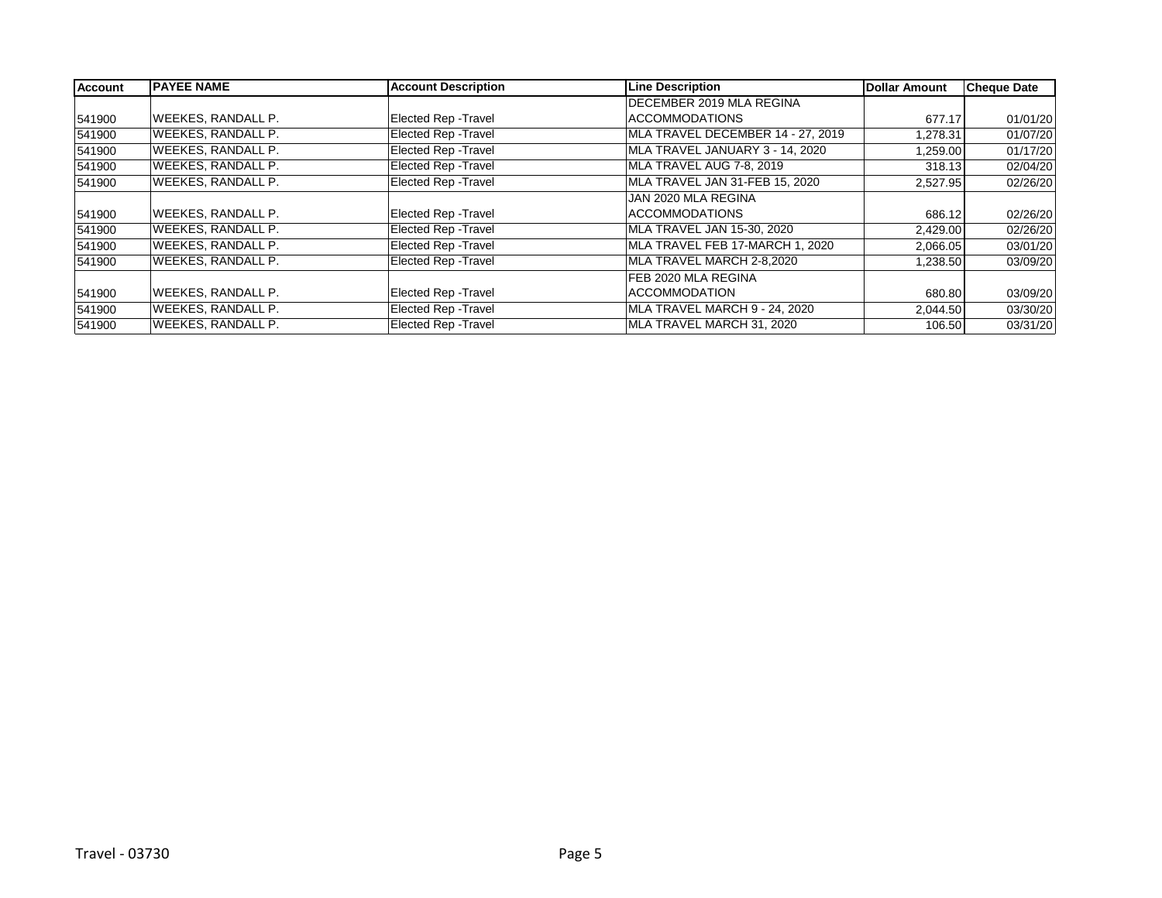| <b>Account</b> | <b>IPAYEE NAME</b>        | <b>Account Description</b>  | <b>Line Description</b>           | Dollar Amount | <b>Cheque Date</b> |
|----------------|---------------------------|-----------------------------|-----------------------------------|---------------|--------------------|
|                |                           |                             | <b>IDECEMBER 2019 MLA REGINA</b>  |               |                    |
| 541900         | <b>WEEKES, RANDALL P.</b> | Elected Rep - Travel        | ACCOMMODATIONS                    | 677.17        | 01/01/20           |
| 541900         | <b>WEEKES, RANDALL P.</b> | Elected Rep - Travel        | MLA TRAVEL DECEMBER 14 - 27, 2019 | 1,278.31      | 01/07/20           |
| 541900         | <b>WEEKES, RANDALL P.</b> | Elected Rep - Travel        | MLA TRAVEL JANUARY 3 - 14, 2020   | 1,259.00      | 01/17/20           |
| 541900         | <b>WEEKES, RANDALL P.</b> | <b>Elected Rep - Travel</b> | MLA TRAVEL AUG 7-8, 2019          | 318.13        | 02/04/20           |
| 541900         | <b>WEEKES, RANDALL P.</b> | <b>Elected Rep - Travel</b> | MLA TRAVEL JAN 31-FEB 15, 2020    | 2,527.95      | 02/26/20           |
|                |                           |                             | JAN 2020 MLA REGINA               |               |                    |
| 541900         | <b>WEEKES, RANDALL P.</b> | Elected Rep - Travel        | <b>ACCOMMODATIONS</b>             | 686.12        | 02/26/20           |
| 541900         | <b>WEEKES, RANDALL P.</b> | Elected Rep - Travel        | MLA TRAVEL JAN 15-30, 2020        | 2,429.00      | 02/26/20           |
| 541900         | <b>WEEKES, RANDALL P.</b> | Elected Rep - Travel        | MLA TRAVEL FEB 17-MARCH 1, 2020   | 2,066.05      | 03/01/20           |
| 541900         | <b>WEEKES, RANDALL P.</b> | <b>Elected Rep - Travel</b> | MLA TRAVEL MARCH 2-8,2020         | 1,238.50      | 03/09/20           |
|                |                           |                             | FEB 2020 MLA REGINA               |               |                    |
| 541900         | <b>WEEKES, RANDALL P.</b> | Elected Rep - Travel        | <b>ACCOMMODATION</b>              | 680.80        | 03/09/20           |
| 541900         | <b>WEEKES, RANDALL P.</b> | Elected Rep - Travel        | MLA TRAVEL MARCH 9 - 24, 2020     | 2,044.50      | 03/30/20           |
| 541900         | <b>WEEKES, RANDALL P.</b> | Elected Rep - Travel        | MLA TRAVEL MARCH 31, 2020         | 106.50        | 03/31/20           |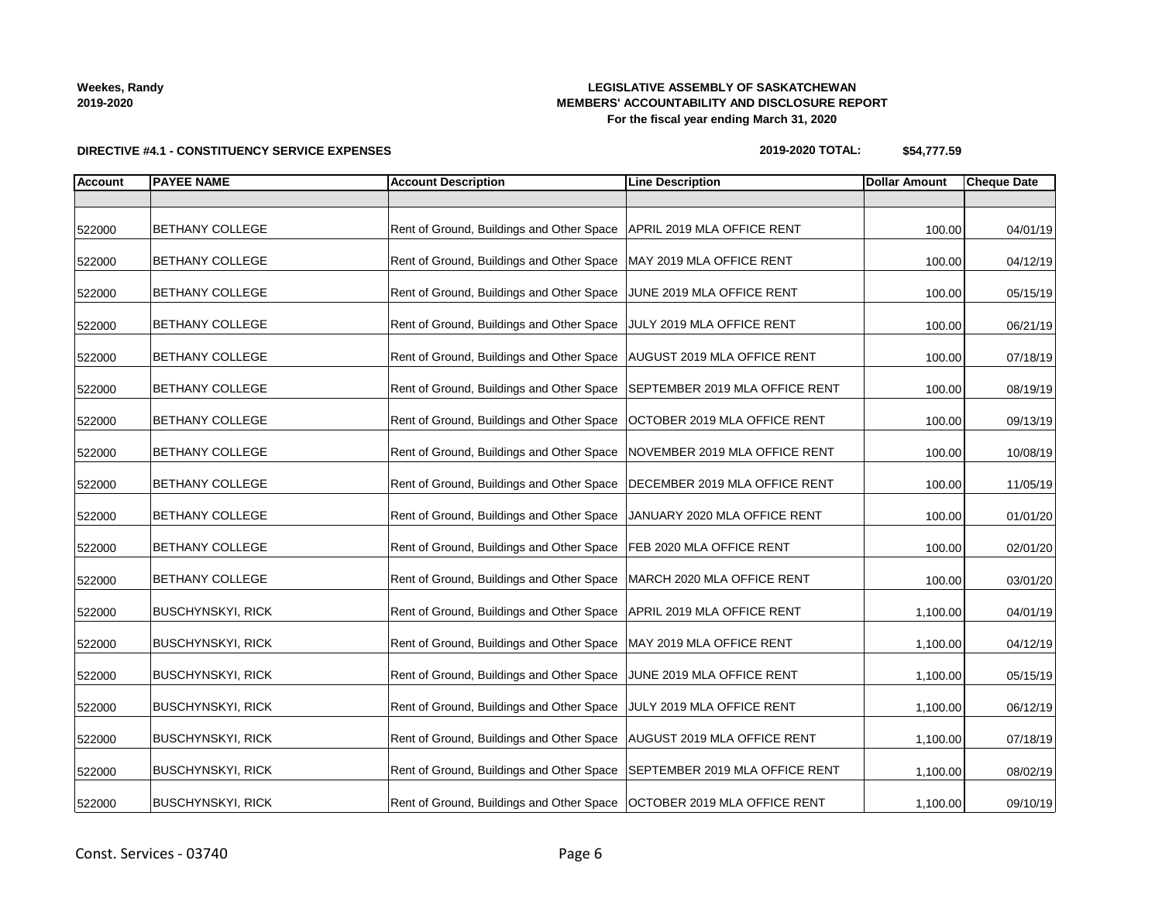# **DIRECTIVE #4.1 - CONSTITUENCY SERVICE EXPENSES**

### **LEGISLATIVE ASSEMBLY OF SASKATCHEWAN MEMBERS' ACCOUNTABILITY AND DISCLOSURE REPORT For the fiscal year ending March 31, 2020**

**2019-2020 TOTAL: \$54,777.59**

| <b>Account</b> | <b>PAYEE NAME</b>        | <b>Account Description</b>                | <b>Line Description</b>        | <b>Dollar Amount</b> | <b>Cheque Date</b> |
|----------------|--------------------------|-------------------------------------------|--------------------------------|----------------------|--------------------|
|                |                          |                                           |                                |                      |                    |
| 522000         | <b>BETHANY COLLEGE</b>   | Rent of Ground, Buildings and Other Space | APRIL 2019 MLA OFFICE RENT     | 100.00               | 04/01/19           |
| 522000         | <b>BETHANY COLLEGE</b>   | Rent of Ground, Buildings and Other Space | MAY 2019 MLA OFFICE RENT       | 100.00               | 04/12/19           |
| 522000         | <b>BETHANY COLLEGE</b>   | Rent of Ground, Buildings and Other Space | JUNE 2019 MLA OFFICE RENT      | 100.00               | 05/15/19           |
| 522000         | BETHANY COLLEGE          | Rent of Ground, Buildings and Other Space | JULY 2019 MLA OFFICE RENT      | 100.00               | 06/21/19           |
| 522000         | BETHANY COLLEGE          | Rent of Ground, Buildings and Other Space | AUGUST 2019 MLA OFFICE RENT    | 100.00               | 07/18/19           |
| 522000         | BETHANY COLLEGE          | Rent of Ground, Buildings and Other Space | SEPTEMBER 2019 MLA OFFICE RENT | 100.00               | 08/19/19           |
| 522000         | BETHANY COLLEGE          | Rent of Ground, Buildings and Other Space | OCTOBER 2019 MLA OFFICE RENT   | 100.00               | 09/13/19           |
| 522000         | <b>BETHANY COLLEGE</b>   | Rent of Ground, Buildings and Other Space | NOVEMBER 2019 MLA OFFICE RENT  | 100.00               | 10/08/19           |
| 522000         | <b>BETHANY COLLEGE</b>   | Rent of Ground, Buildings and Other Space | DECEMBER 2019 MLA OFFICE RENT  | 100.00               | 11/05/19           |
| 522000         | <b>BETHANY COLLEGE</b>   | Rent of Ground, Buildings and Other Space | JANUARY 2020 MLA OFFICE RENT   | 100.00               | 01/01/20           |
| 522000         | <b>BETHANY COLLEGE</b>   | Rent of Ground, Buildings and Other Space | FEB 2020 MLA OFFICE RENT       | 100.00               | 02/01/20           |
| 522000         | <b>BETHANY COLLEGE</b>   | Rent of Ground, Buildings and Other Space | MARCH 2020 MLA OFFICE RENT     | 100.00               | 03/01/20           |
| 522000         | <b>BUSCHYNSKYI, RICK</b> | Rent of Ground, Buildings and Other Space | APRIL 2019 MLA OFFICE RENT     | 1,100.00             | 04/01/19           |
| 522000         | <b>BUSCHYNSKYI, RICK</b> | Rent of Ground, Buildings and Other Space | MAY 2019 MLA OFFICE RENT       | 1,100.00             | 04/12/19           |
| 522000         | <b>BUSCHYNSKYI, RICK</b> | Rent of Ground, Buildings and Other Space | JUNE 2019 MLA OFFICE RENT      | 1,100.00             | 05/15/19           |
| 522000         | <b>BUSCHYNSKYI, RICK</b> | Rent of Ground, Buildings and Other Space | JULY 2019 MLA OFFICE RENT      | 1,100.00             | 06/12/19           |
| 522000         | <b>BUSCHYNSKYI, RICK</b> | Rent of Ground, Buildings and Other Space | AUGUST 2019 MLA OFFICE RENT    | 1,100.00             | 07/18/19           |
| 522000         | <b>BUSCHYNSKYI, RICK</b> | Rent of Ground, Buildings and Other Space | SEPTEMBER 2019 MLA OFFICE RENT | 1,100.00             | 08/02/19           |
| 522000         | <b>BUSCHYNSKYI, RICK</b> | Rent of Ground, Buildings and Other Space | OCTOBER 2019 MLA OFFICE RENT   | 1,100.00             | 09/10/19           |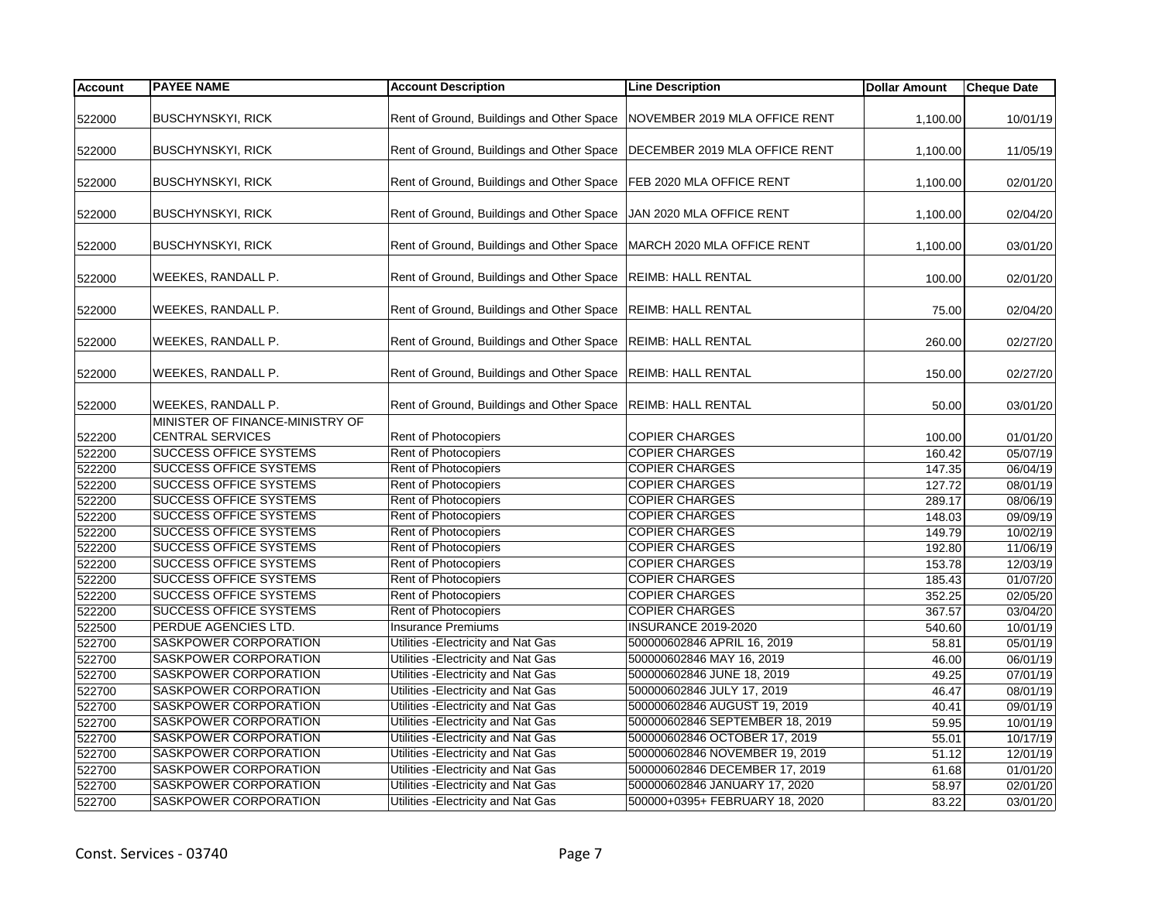| <b>Account</b> | <b>PAYEE NAME</b>               | <b>Account Description</b>                                                | <b>Line Description</b>         | <b>Dollar Amount</b> | <b>Cheque Date</b> |
|----------------|---------------------------------|---------------------------------------------------------------------------|---------------------------------|----------------------|--------------------|
|                |                                 |                                                                           |                                 |                      |                    |
| 522000         | <b>BUSCHYNSKYI, RICK</b>        | Rent of Ground, Buildings and Other Space NOVEMBER 2019 MLA OFFICE RENT   |                                 | 1,100.00             | 10/01/19           |
| 522000         | <b>BUSCHYNSKYI, RICK</b>        | Rent of Ground, Buildings and Other Space   DECEMBER 2019 MLA OFFICE RENT |                                 | 1,100.00             | 11/05/19           |
| 522000         | <b>BUSCHYNSKYI, RICK</b>        | Rent of Ground, Buildings and Other Space                                 | FEB 2020 MLA OFFICE RENT        | 1,100.00             | 02/01/20           |
| 522000         | <b>BUSCHYNSKYI, RICK</b>        | Rent of Ground, Buildings and Other Space JJAN 2020 MLA OFFICE RENT       |                                 | 1,100.00             | 02/04/20           |
| 522000         | <b>BUSCHYNSKYI, RICK</b>        | Rent of Ground, Buildings and Other Space   MARCH 2020 MLA OFFICE RENT    |                                 | 1,100.00             | 03/01/20           |
| 522000         | WEEKES, RANDALL P.              | Rent of Ground, Buildings and Other Space  REIMB: HALL RENTAL             |                                 | 100.00               | 02/01/20           |
| 522000         | WEEKES, RANDALL P.              | Rent of Ground, Buildings and Other Space REIMB: HALL RENTAL              |                                 | 75.00                | 02/04/20           |
| 522000         | <b>WEEKES, RANDALL P.</b>       | Rent of Ground, Buildings and Other Space  REIMB: HALL RENTAL             |                                 | 260.00               | 02/27/20           |
| 522000         | WEEKES, RANDALL P.              | Rent of Ground, Buildings and Other Space                                 | <b>REIMB: HALL RENTAL</b>       | 150.00               | 02/27/20           |
| 522000         | WEEKES, RANDALL P.              | Rent of Ground, Buildings and Other Space  REIMB: HALL RENTAL             |                                 | 50.00                | 03/01/20           |
|                | MINISTER OF FINANCE-MINISTRY OF |                                                                           |                                 |                      |                    |
| 522200         | <b>CENTRAL SERVICES</b>         | Rent of Photocopiers                                                      | <b>COPIER CHARGES</b>           | 100.00               | 01/01/20           |
| 522200         | <b>SUCCESS OFFICE SYSTEMS</b>   | Rent of Photocopiers                                                      | <b>COPIER CHARGES</b>           | 160.42               | 05/07/19           |
| 522200         | <b>SUCCESS OFFICE SYSTEMS</b>   | Rent of Photocopiers                                                      | <b>COPIER CHARGES</b>           | 147.35               | 06/04/19           |
| 522200         | <b>SUCCESS OFFICE SYSTEMS</b>   | Rent of Photocopiers                                                      | <b>COPIER CHARGES</b>           | 127.72               | 08/01/19           |
| 522200         | <b>SUCCESS OFFICE SYSTEMS</b>   | Rent of Photocopiers                                                      | <b>COPIER CHARGES</b>           | 289.17               | 08/06/19           |
| 522200         | <b>SUCCESS OFFICE SYSTEMS</b>   | Rent of Photocopiers                                                      | <b>COPIER CHARGES</b>           | 148.03               | 09/09/19           |
| 522200         | <b>SUCCESS OFFICE SYSTEMS</b>   | Rent of Photocopiers                                                      | <b>COPIER CHARGES</b>           | 149.79               | 10/02/19           |
| 522200         | <b>SUCCESS OFFICE SYSTEMS</b>   | Rent of Photocopiers                                                      | <b>COPIER CHARGES</b>           | 192.80               | 11/06/19           |
| 522200         | <b>SUCCESS OFFICE SYSTEMS</b>   | <b>Rent of Photocopiers</b>                                               | <b>COPIER CHARGES</b>           | 153.78               | 12/03/19           |
| 522200         | <b>SUCCESS OFFICE SYSTEMS</b>   | <b>Rent of Photocopiers</b>                                               | <b>COPIER CHARGES</b>           | 185.43               | 01/07/20           |
| 522200         | <b>SUCCESS OFFICE SYSTEMS</b>   | Rent of Photocopiers                                                      | <b>COPIER CHARGES</b>           | 352.25               | 02/05/20           |
| 522200         | <b>SUCCESS OFFICE SYSTEMS</b>   | Rent of Photocopiers                                                      | <b>COPIER CHARGES</b>           | 367.57               | 03/04/20           |
| 522500         | PERDUE AGENCIES LTD.            | <b>Insurance Premiums</b>                                                 | <b>INSURANCE 2019-2020</b>      | 540.60               | 10/01/19           |
| 522700         | <b>SASKPOWER CORPORATION</b>    | Utilities - Electricity and Nat Gas                                       | 500000602846 APRIL 16, 2019     | 58.81                | 05/01/19           |
| 522700         | SASKPOWER CORPORATION           | Utilities - Electricity and Nat Gas                                       | 500000602846 MAY 16, 2019       | 46.00                | 06/01/19           |
| 522700         | <b>SASKPOWER CORPORATION</b>    | Utilities - Electricity and Nat Gas                                       | 500000602846 JUNE 18, 2019      | 49.25                | 07/01/19           |
| 522700         | <b>SASKPOWER CORPORATION</b>    | Utilities - Electricity and Nat Gas                                       | 500000602846 JULY 17, 2019      | 46.47                | 08/01/19           |
| 522700         | SASKPOWER CORPORATION           | Utilities - Electricity and Nat Gas                                       | 500000602846 AUGUST 19, 2019    | 40.41                | 09/01/19           |
| 522700         | SASKPOWER CORPORATION           | Utilities - Electricity and Nat Gas                                       | 500000602846 SEPTEMBER 18, 2019 | 59.95                | 10/01/19           |
| 522700         | <b>SASKPOWER CORPORATION</b>    | Utilities - Electricity and Nat Gas                                       | 500000602846 OCTOBER 17, 2019   | 55.01                | 10/17/19           |
| 522700         | SASKPOWER CORPORATION           | Utilities - Electricity and Nat Gas                                       | 500000602846 NOVEMBER 19, 2019  | 51.12                | 12/01/19           |
| 522700         | SASKPOWER CORPORATION           | Utilities - Electricity and Nat Gas                                       | 500000602846 DECEMBER 17, 2019  | 61.68                | 01/01/20           |
| 522700         | SASKPOWER CORPORATION           | Utilities - Electricity and Nat Gas                                       | 500000602846 JANUARY 17, 2020   | 58.97                | 02/01/20           |
| 522700         | SASKPOWER CORPORATION           | Utilities - Electricity and Nat Gas                                       | 500000+0395+ FEBRUARY 18, 2020  | 83.22                | 03/01/20           |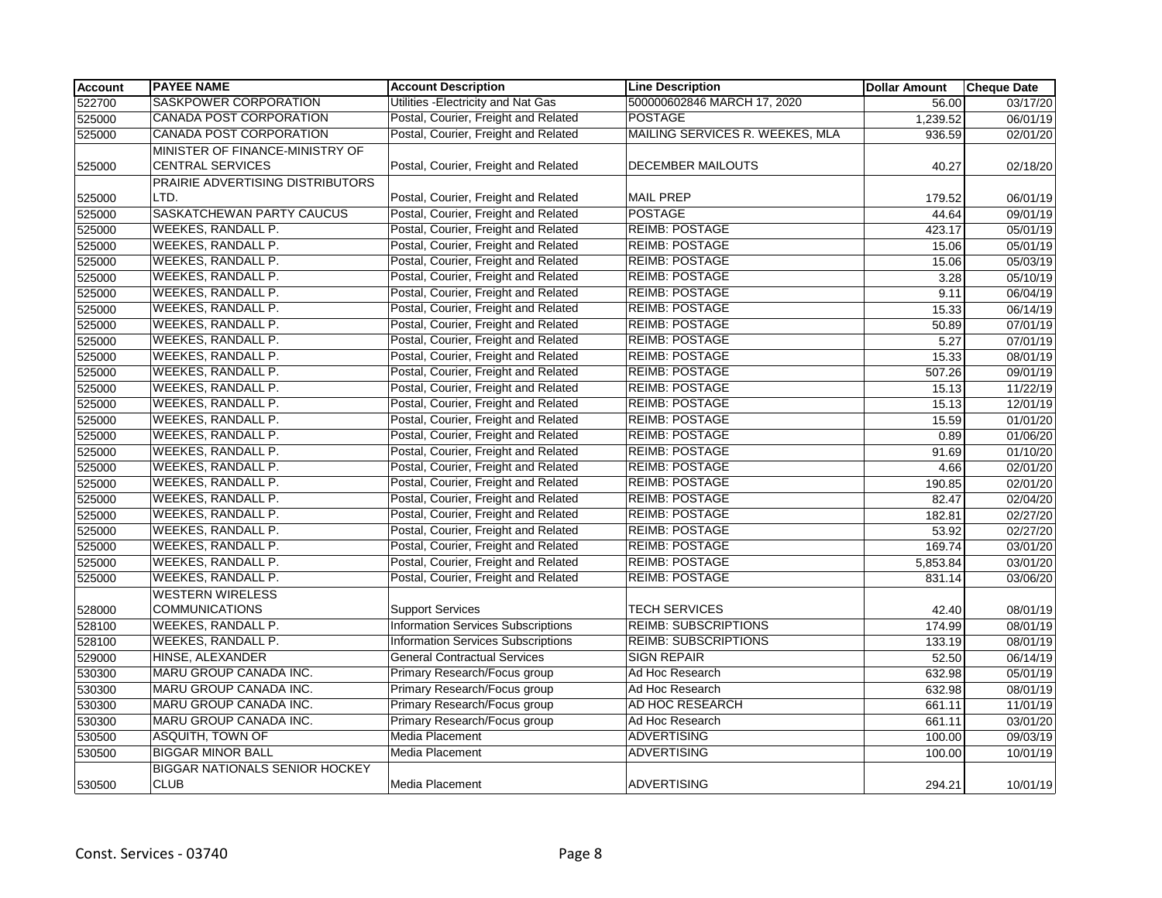| <b>Account</b> | <b>PAYEE NAME</b>                     | <b>Account Description</b>                | <b>Line Description</b>         | <b>Dollar Amount</b> | <b>Cheque Date</b> |
|----------------|---------------------------------------|-------------------------------------------|---------------------------------|----------------------|--------------------|
| 522700         | SASKPOWER CORPORATION                 | Utilities - Electricity and Nat Gas       | 500000602846 MARCH 17, 2020     | 56.00                | 03/17/20           |
| 525000         | CANADA POST CORPORATION               | Postal, Courier, Freight and Related      | <b>POSTAGE</b>                  | 1,239.52             | 06/01/19           |
| 525000         | CANADA POST CORPORATION               | Postal, Courier, Freight and Related      | MAILING SERVICES R. WEEKES, MLA | 936.59               | 02/01/20           |
|                | MINISTER OF FINANCE-MINISTRY OF       |                                           |                                 |                      |                    |
| 525000         | <b>CENTRAL SERVICES</b>               | Postal, Courier, Freight and Related      | DECEMBER MAILOUTS               | 40.27                | 02/18/20           |
|                | PRAIRIE ADVERTISING DISTRIBUTORS      |                                           |                                 |                      |                    |
| 525000         | LTD.                                  | Postal, Courier, Freight and Related      | <b>MAIL PREP</b>                | 179.52               | 06/01/19           |
| 525000         | SASKATCHEWAN PARTY CAUCUS             | Postal, Courier, Freight and Related      | <b>POSTAGE</b>                  | 44.64                | 09/01/19           |
| 525000         | WEEKES, RANDALL P.                    | Postal, Courier, Freight and Related      | <b>REIMB: POSTAGE</b>           | 423.17               | 05/01/19           |
| 525000         | WEEKES, RANDALL P.                    | Postal, Courier, Freight and Related      | <b>REIMB: POSTAGE</b>           | 15.06                | 05/01/19           |
| 525000         | <b>WEEKES, RANDALL P.</b>             | Postal, Courier, Freight and Related      | <b>REIMB: POSTAGE</b>           | 15.06                | 05/03/19           |
| 525000         | WEEKES, RANDALL P.                    | Postal, Courier, Freight and Related      | <b>REIMB: POSTAGE</b>           | 3.28                 | 05/10/19           |
| 525000         | <b>WEEKES, RANDALL P.</b>             | Postal, Courier, Freight and Related      | <b>REIMB: POSTAGE</b>           | 9.11                 | 06/04/19           |
| 525000         | WEEKES, RANDALL P.                    | Postal, Courier, Freight and Related      | <b>REIMB: POSTAGE</b>           | 15.33                | 06/14/19           |
| 525000         | <b>WEEKES, RANDALL P.</b>             | Postal, Courier, Freight and Related      | <b>REIMB: POSTAGE</b>           | 50.89                | 07/01/19           |
| 525000         | <b>WEEKES, RANDALL P.</b>             | Postal, Courier, Freight and Related      | <b>REIMB: POSTAGE</b>           | 5.27                 | 07/01/19           |
| 525000         | WEEKES, RANDALL P.                    | Postal, Courier, Freight and Related      | <b>REIMB: POSTAGE</b>           | 15.33                | 08/01/19           |
| 525000         | <b>WEEKES, RANDALL P.</b>             | Postal, Courier, Freight and Related      | <b>REIMB: POSTAGE</b>           | 507.26               | 09/01/19           |
| 525000         | <b>WEEKES, RANDALL P.</b>             | Postal, Courier, Freight and Related      | <b>REIMB: POSTAGE</b>           | 15.13                | 11/22/19           |
| 525000         | <b>WEEKES, RANDALL P.</b>             | Postal, Courier, Freight and Related      | <b>REIMB: POSTAGE</b>           | 15.13                | 12/01/19           |
| 525000         | WEEKES, RANDALL P.                    | Postal, Courier, Freight and Related      | <b>REIMB: POSTAGE</b>           | 15.59                | 01/01/20           |
| 525000         | WEEKES, RANDALL P.                    | Postal, Courier, Freight and Related      | <b>REIMB: POSTAGE</b>           | 0.89                 | 01/06/20           |
| 525000         | WEEKES, RANDALL P.                    | Postal, Courier, Freight and Related      | <b>REIMB: POSTAGE</b>           | 91.69                | 01/10/20           |
| 525000         | <b>WEEKES, RANDALL P.</b>             | Postal, Courier, Freight and Related      | <b>REIMB: POSTAGE</b>           | 4.66                 | 02/01/20           |
| 525000         | <b>WEEKES, RANDALL P.</b>             | Postal, Courier, Freight and Related      | <b>REIMB: POSTAGE</b>           | 190.85               | 02/01/20           |
| 525000         | WEEKES, RANDALL P.                    | Postal, Courier, Freight and Related      | <b>REIMB: POSTAGE</b>           | 82.47                | 02/04/20           |
| 525000         | WEEKES, RANDALL P.                    | Postal, Courier, Freight and Related      | <b>REIMB: POSTAGE</b>           | 182.81               | 02/27/20           |
| 525000         | WEEKES, RANDALL P.                    | Postal, Courier, Freight and Related      | <b>REIMB: POSTAGE</b>           | 53.92                | 02/27/20           |
| 525000         | <b>WEEKES, RANDALL P.</b>             | Postal, Courier, Freight and Related      | <b>REIMB: POSTAGE</b>           | 169.74               | 03/01/20           |
| 525000         | WEEKES, RANDALL P.                    | Postal, Courier, Freight and Related      | <b>REIMB: POSTAGE</b>           | 5,853.84             | 03/01/20           |
| 525000         | WEEKES, RANDALL P.                    | Postal, Courier, Freight and Related      | <b>REIMB: POSTAGE</b>           | 831.14               | 03/06/20           |
|                | <b>WESTERN WIRELESS</b>               |                                           |                                 |                      |                    |
| 528000         | <b>COMMUNICATIONS</b>                 | <b>Support Services</b>                   | <b>TECH SERVICES</b>            | 42.40                | 08/01/19           |
| 528100         | WEEKES, RANDALL P.                    | <b>Information Services Subscriptions</b> | <b>REIMB: SUBSCRIPTIONS</b>     | 174.99               | 08/01/19           |
| 528100         | WEEKES, RANDALL P.                    | <b>Information Services Subscriptions</b> | <b>REIMB: SUBSCRIPTIONS</b>     | 133.19               | 08/01/19           |
| 529000         | HINSE, ALEXANDER                      | <b>General Contractual Services</b>       | <b>SIGN REPAIR</b>              | 52.50                | 06/14/19           |
| 530300         | <b>MARU GROUP CANADA INC.</b>         | Primary Research/Focus group              | Ad Hoc Research                 | 632.98               | 05/01/19           |
| 530300         | MARU GROUP CANADA INC.                | Primary Research/Focus group              | Ad Hoc Research                 | 632.98               | 08/01/19           |
| 530300         | MARU GROUP CANADA INC.                | Primary Research/Focus group              | AD HOC RESEARCH                 | 661.11               | 11/01/19           |
| 530300         | MARU GROUP CANADA INC.                | Primary Research/Focus group              | Ad Hoc Research                 | 661.11               | 03/01/20           |
| 530500         | <b>ASQUITH, TOWN OF</b>               | Media Placement                           | <b>ADVERTISING</b>              | 100.00               | 09/03/19           |
| 530500         | <b>BIGGAR MINOR BALL</b>              | Media Placement                           | <b>ADVERTISING</b>              | 100.00               | 10/01/19           |
|                | <b>BIGGAR NATIONALS SENIOR HOCKEY</b> |                                           |                                 |                      |                    |
| 530500         | <b>CLUB</b>                           | Media Placement                           | <b>ADVERTISING</b>              | 294.21               | 10/01/19           |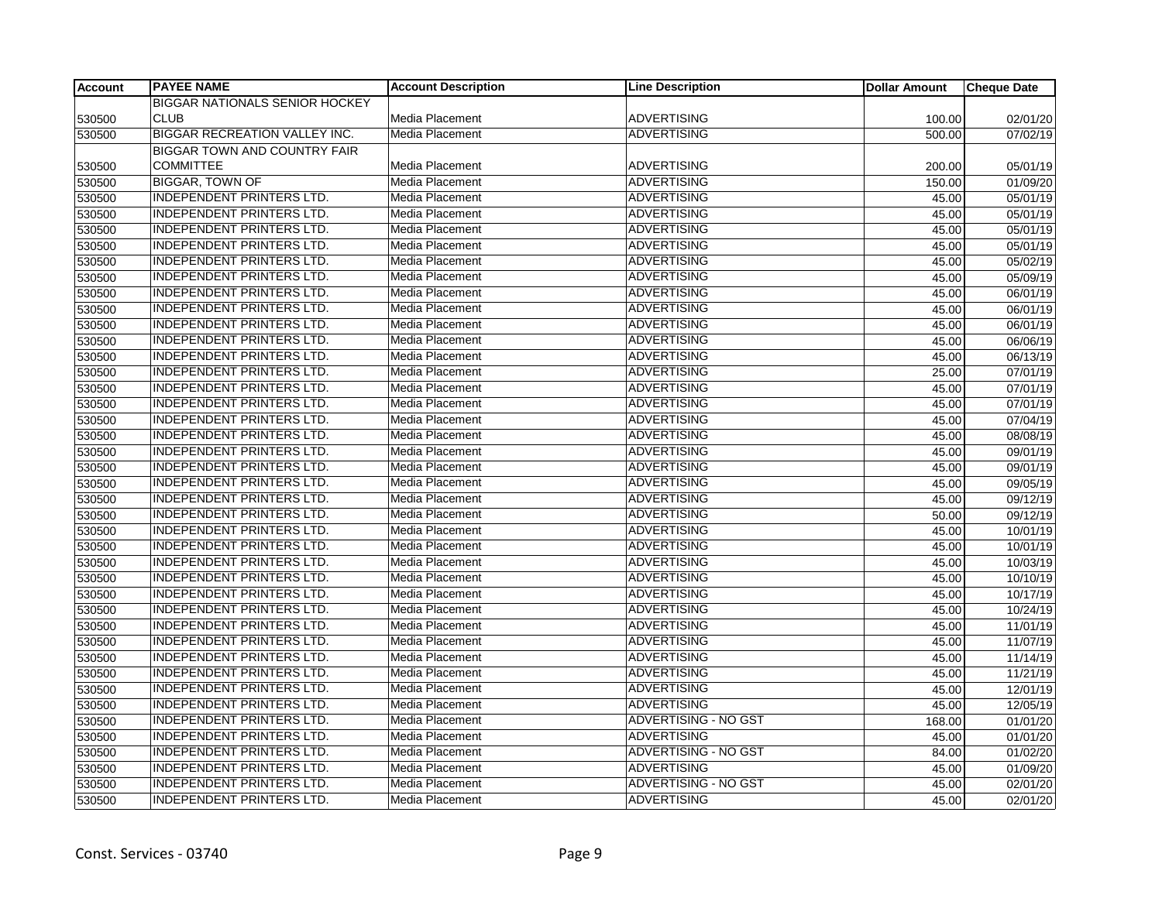| <b>Account</b> | <b>PAYEE NAME</b>                     | <b>Account Description</b> | <b>Line Description</b>     | <b>Dollar Amount</b> | <b>Cheque Date</b>    |
|----------------|---------------------------------------|----------------------------|-----------------------------|----------------------|-----------------------|
|                | <b>BIGGAR NATIONALS SENIOR HOCKEY</b> |                            |                             |                      |                       |
| 530500         | <b>CLUB</b>                           | Media Placement            | <b>ADVERTISING</b>          | 100.00               | 02/01/20              |
| 530500         | <b>BIGGAR RECREATION VALLEY INC.</b>  | <b>Media Placement</b>     | <b>ADVERTISING</b>          | 500.00               | 07/02/19              |
|                | <b>BIGGAR TOWN AND COUNTRY FAIR</b>   |                            |                             |                      |                       |
| 530500         | <b>COMMITTEE</b>                      | Media Placement            | <b>ADVERTISING</b>          | 200.00               | 05/01/19              |
| 530500         | <b>BIGGAR, TOWN OF</b>                | <b>Media Placement</b>     | <b>ADVERTISING</b>          | 150.00               | 01/09/20              |
| 530500         | <b>INDEPENDENT PRINTERS LTD.</b>      | <b>Media Placement</b>     | <b>ADVERTISING</b>          | 45.00                | 05/01/19              |
| 530500         | <b>INDEPENDENT PRINTERS LTD.</b>      | Media Placement            | <b>ADVERTISING</b>          | 45.00                | 05/01/19              |
| 530500         | <b>INDEPENDENT PRINTERS LTD.</b>      | <b>Media Placement</b>     | <b>ADVERTISING</b>          | 45.00                | 05/01/19              |
| 530500         | INDEPENDENT PRINTERS LTD.             | <b>Media Placement</b>     | <b>ADVERTISING</b>          | 45.00                | 05/01/19              |
| 530500         | <b>INDEPENDENT PRINTERS LTD.</b>      | <b>Media Placement</b>     | <b>ADVERTISING</b>          | 45.00                | $\overline{05/02/19}$ |
| 530500         | <b>INDEPENDENT PRINTERS LTD.</b>      | <b>Media Placement</b>     | <b>ADVERTISING</b>          | 45.00                | 05/09/19              |
| 530500         | INDEPENDENT PRINTERS LTD.             | Media Placement            | <b>ADVERTISING</b>          | 45.00                | 06/01/19              |
| 530500         | <b>INDEPENDENT PRINTERS LTD.</b>      | Media Placement            | <b>ADVERTISING</b>          | 45.00                | 06/01/19              |
| 530500         | <b>INDEPENDENT PRINTERS LTD.</b>      | Media Placement            | <b>ADVERTISING</b>          | 45.00                | 06/01/19              |
| 530500         | <b>INDEPENDENT PRINTERS LTD.</b>      | Media Placement            | <b>ADVERTISING</b>          | 45.00                | 06/06/19              |
| 530500         | <b>INDEPENDENT PRINTERS LTD.</b>      | Media Placement            | <b>ADVERTISING</b>          | 45.00                | 06/13/19              |
| 530500         | INDEPENDENT PRINTERS LTD.             | <b>Media Placement</b>     | <b>ADVERTISING</b>          | 25.00                | 07/01/19              |
| 530500         | <b>INDEPENDENT PRINTERS LTD.</b>      | Media Placement            | <b>ADVERTISING</b>          | 45.00                | 07/01/19              |
| 530500         | <b>INDEPENDENT PRINTERS LTD.</b>      | Media Placement            | <b>ADVERTISING</b>          | 45.00                | 07/01/19              |
| 530500         | <b>INDEPENDENT PRINTERS LTD.</b>      | Media Placement            | <b>ADVERTISING</b>          | 45.00                | 07/04/19              |
| 530500         | <b>INDEPENDENT PRINTERS LTD.</b>      | <b>Media Placement</b>     | <b>ADVERTISING</b>          | 45.00                | 08/08/19              |
| 530500         | <b>INDEPENDENT PRINTERS LTD.</b>      | <b>Media Placement</b>     | <b>ADVERTISING</b>          | 45.00                | 09/01/19              |
| 530500         | <b>INDEPENDENT PRINTERS LTD.</b>      | <b>Media Placement</b>     | <b>ADVERTISING</b>          | 45.00                | 09/01/19              |
| 530500         | <b>INDEPENDENT PRINTERS LTD.</b>      | Media Placement            | <b>ADVERTISING</b>          | 45.00                | 09/05/19              |
| 530500         | <b>INDEPENDENT PRINTERS LTD.</b>      | Media Placement            | <b>ADVERTISING</b>          | 45.00                | 09/12/19              |
| 530500         | <b>INDEPENDENT PRINTERS LTD.</b>      | <b>Media Placement</b>     | <b>ADVERTISING</b>          | 50.00                | 09/12/19              |
| 530500         | <b>INDEPENDENT PRINTERS LTD.</b>      | <b>Media Placement</b>     | <b>ADVERTISING</b>          | 45.00                | 10/01/19              |
| 530500         | INDEPENDENT PRINTERS LTD.             | Media Placement            | <b>ADVERTISING</b>          | 45.00                | 10/01/19              |
| 530500         | <b>INDEPENDENT PRINTERS LTD.</b>      | <b>Media Placement</b>     | <b>ADVERTISING</b>          | 45.00                | 10/03/19              |
| 530500         | <b>INDEPENDENT PRINTERS LTD.</b>      | Media Placement            | <b>ADVERTISING</b>          | 45.00                | 10/10/19              |
| 530500         | <b>INDEPENDENT PRINTERS LTD.</b>      | Media Placement            | <b>ADVERTISING</b>          | 45.00                | 10/17/19              |
| 530500         | <b>INDEPENDENT PRINTERS LTD.</b>      | Media Placement            | <b>ADVERTISING</b>          | 45.00                | 10/24/19              |
| 530500         | <b>INDEPENDENT PRINTERS LTD.</b>      | Media Placement            | <b>ADVERTISING</b>          | 45.00                | 11/01/19              |
| 530500         | <b>INDEPENDENT PRINTERS LTD.</b>      | Media Placement            | <b>ADVERTISING</b>          | 45.00                | 11/07/19              |
| 530500         | <b>INDEPENDENT PRINTERS LTD.</b>      | <b>Media Placement</b>     | <b>ADVERTISING</b>          | 45.00                | 11/14/19              |
| 530500         | <b>INDEPENDENT PRINTERS LTD.</b>      | <b>Media Placement</b>     | <b>ADVERTISING</b>          | 45.00                | 11/21/19              |
| 530500         | <b>INDEPENDENT PRINTERS LTD.</b>      | Media Placement            | ADVERTISING                 | 45.00                | 12/01/19              |
| 530500         | <b>INDEPENDENT PRINTERS LTD.</b>      | <b>Media Placement</b>     | <b>ADVERTISING</b>          | 45.00                | 12/05/19              |
| 530500         | <b>INDEPENDENT PRINTERS LTD.</b>      | Media Placement            | <b>ADVERTISING - NO GST</b> | 168.00               | 01/01/20              |
| 530500         | <b>INDEPENDENT PRINTERS LTD.</b>      | Media Placement            | <b>ADVERTISING</b>          | 45.00                | 01/01/20              |
| 530500         | <b>INDEPENDENT PRINTERS LTD.</b>      | Media Placement            | <b>ADVERTISING - NO GST</b> | 84.00                | 01/02/20              |
| 530500         | <b>INDEPENDENT PRINTERS LTD.</b>      | <b>Media Placement</b>     | <b>ADVERTISING</b>          | 45.00                | 01/09/20              |
| 530500         | <b>INDEPENDENT PRINTERS LTD.</b>      | <b>Media Placement</b>     | ADVERTISING - NO GST        | 45.00                | 02/01/20              |
| 530500         | <b>INDEPENDENT PRINTERS LTD.</b>      | Media Placement            | <b>ADVERTISING</b>          | 45.00                | 02/01/20              |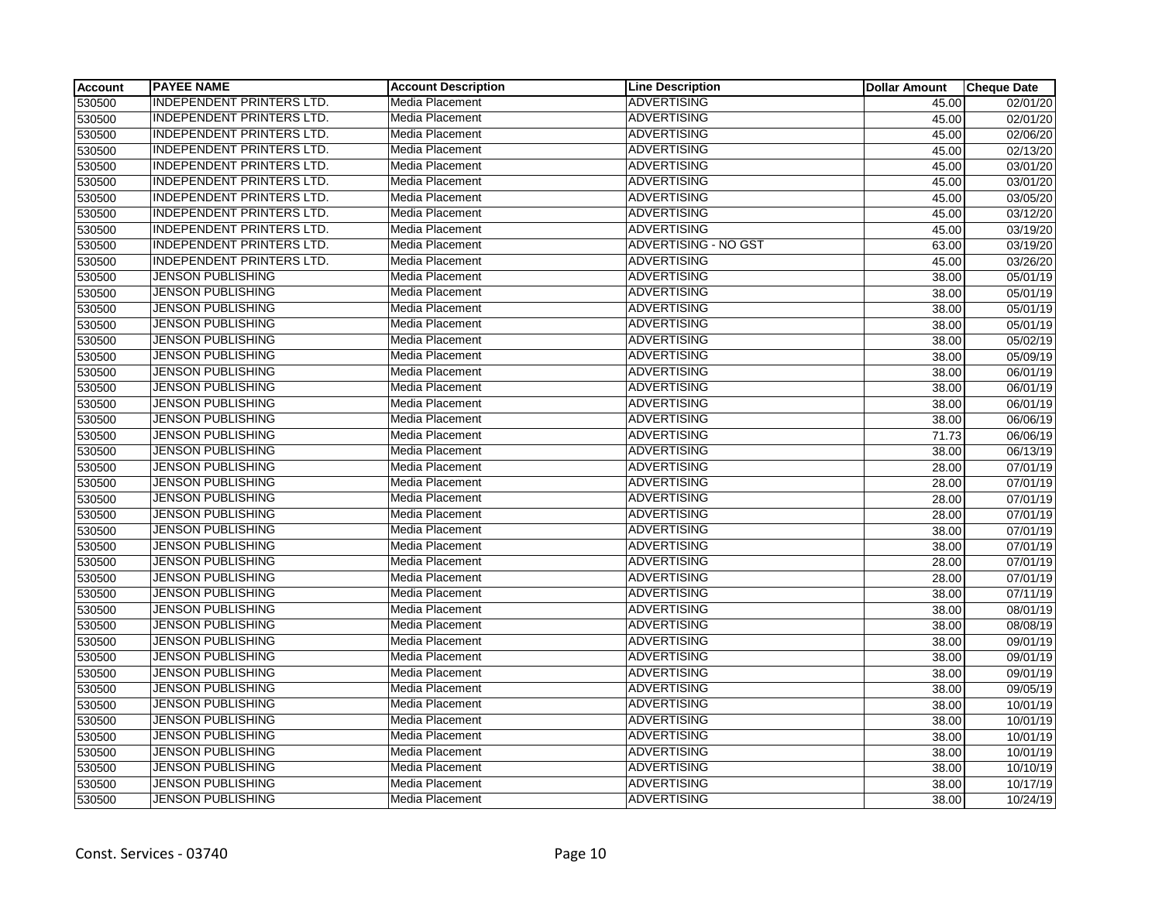| Account | <b>PAYEE NAME</b>                | <b>Account Description</b> | <b>Line Description</b>     | <b>Dollar Amount</b> | <b>Cheque Date</b>    |
|---------|----------------------------------|----------------------------|-----------------------------|----------------------|-----------------------|
| 530500  | <b>INDEPENDENT PRINTERS LTD.</b> | <b>Media Placement</b>     | <b>ADVERTISING</b>          | 45.00                | 02/01/20              |
| 530500  | <b>INDEPENDENT PRINTERS LTD.</b> | <b>Media Placement</b>     | <b>ADVERTISING</b>          | 45.00                | 02/01/20              |
| 530500  | <b>INDEPENDENT PRINTERS LTD.</b> | <b>Media Placement</b>     | <b>ADVERTISING</b>          | 45.00                | 02/06/20              |
| 530500  | <b>INDEPENDENT PRINTERS LTD.</b> | Media Placement            | <b>ADVERTISING</b>          | 45.00                | 02/13/20              |
| 530500  | <b>INDEPENDENT PRINTERS LTD.</b> | Media Placement            | <b>ADVERTISING</b>          | 45.00                | 03/01/20              |
| 530500  | <b>INDEPENDENT PRINTERS LTD.</b> | <b>Media Placement</b>     | <b>ADVERTISING</b>          | 45.00                | 03/01/20              |
| 530500  | <b>INDEPENDENT PRINTERS LTD.</b> | <b>Media Placement</b>     | <b>ADVERTISING</b>          | 45.00                | 03/05/20              |
| 530500  | <b>INDEPENDENT PRINTERS LTD.</b> | Media Placement            | <b>ADVERTISING</b>          | 45.00                | 03/12/20              |
| 530500  | <b>INDEPENDENT PRINTERS LTD.</b> | <b>Media Placement</b>     | <b>ADVERTISING</b>          | 45.00                | 03/19/20              |
| 530500  | INDEPENDENT PRINTERS LTD.        | <b>Media Placement</b>     | <b>ADVERTISING - NO GST</b> | 63.00                | 03/19/20              |
| 530500  | <b>INDEPENDENT PRINTERS LTD.</b> | Media Placement            | <b>ADVERTISING</b>          | 45.00                | 03/26/20              |
| 530500  | JENSON PUBLISHING                | Media Placement            | ADVERTISING                 | 38.00                | 05/01/19              |
| 530500  | JENSON PUBLISHING                | <b>Media Placement</b>     | <b>ADVERTISING</b>          | 38.00                | 05/01/19              |
| 530500  | <b>JENSON PUBLISHING</b>         | <b>Media Placement</b>     | <b>ADVERTISING</b>          | 38.00                | 05/01/19              |
| 530500  | <b>JENSON PUBLISHING</b>         | Media Placement            | <b>ADVERTISING</b>          | 38.00                | 05/01/19              |
| 530500  | <b>JENSON PUBLISHING</b>         | Media Placement            | <b>ADVERTISING</b>          | 38.00                | 05/02/19              |
| 530500  | <b>JENSON PUBLISHING</b>         | Media Placement            | <b>ADVERTISING</b>          | 38.00                | 05/09/19              |
| 530500  | <b>JENSON PUBLISHING</b>         | <b>Media Placement</b>     | <b>ADVERTISING</b>          | 38.00                | 06/01/19              |
| 530500  | <b>JENSON PUBLISHING</b>         | Media Placement            | <b>ADVERTISING</b>          | 38.00                | 06/01/19              |
| 530500  | <b>JENSON PUBLISHING</b>         | Media Placement            | <b>ADVERTISING</b>          | 38.00                | 06/01/19              |
| 530500  | <b>JENSON PUBLISHING</b>         | Media Placement            | <b>ADVERTISING</b>          | 38.00                | 06/06/19              |
| 530500  | <b>JENSON PUBLISHING</b>         | <b>Media Placement</b>     | ADVERTISING                 | 71.73                | 06/06/19              |
| 530500  | JENSON PUBLISHING                | Media Placement            | <b>ADVERTISING</b>          | 38.00                | 06/13/19              |
| 530500  | <b>JENSON PUBLISHING</b>         | Media Placement            | <b>ADVERTISING</b>          | 28.00                | 07/01/19              |
| 530500  | <b>JENSON PUBLISHING</b>         | Media Placement            | <b>ADVERTISING</b>          | 28.00                | 07/01/19              |
| 530500  | <b>JENSON PUBLISHING</b>         | <b>Media Placement</b>     | <b>ADVERTISING</b>          | 28.00                | $\overline{07/01/19}$ |
| 530500  | <b>JENSON PUBLISHING</b>         | Media Placement            | <b>ADVERTISING</b>          | 28.00                | 07/01/19              |
| 530500  | JENSON PUBLISHING                | Media Placement            | ADVERTISING                 | 38.00                | 07/01/19              |
| 530500  | JENSON PUBLISHING                | <b>Media Placement</b>     | <b>ADVERTISING</b>          | 38.00                | 07/01/19              |
| 530500  | <b>JENSON PUBLISHING</b>         | Media Placement            | <b>ADVERTISING</b>          | 28.00                | $\overline{07/01/19}$ |
| 530500  | <b>JENSON PUBLISHING</b>         | Media Placement            | <b>ADVERTISING</b>          | 28.00                | 07/01/19              |
| 530500  | <b>JENSON PUBLISHING</b>         | <b>Media Placement</b>     | <b>ADVERTISING</b>          | 38.00                | 07/11/19              |
| 530500  | JENSON PUBLISHING                | Media Placement            | <b>ADVERTISING</b>          | 38.00                | 08/01/19              |
| 530500  | <b>JENSON PUBLISHING</b>         | Media Placement            | <b>ADVERTISING</b>          | 38.00                | 08/08/19              |
| 530500  | JENSON PUBLISHING                | <b>Media Placement</b>     | <b>ADVERTISING</b>          | 38.00                | 09/01/19              |
| 530500  | JENSON PUBLISHING                | <b>Media Placement</b>     | <b>ADVERTISING</b>          | 38.00                | 09/01/19              |
| 530500  | <b>JENSON PUBLISHING</b>         | Media Placement            | <b>ADVERTISING</b>          | 38.00                | 09/01/19              |
| 530500  | <b>JENSON PUBLISHING</b>         | Media Placement            | <b>ADVERTISING</b>          | 38.00                | 09/05/19              |
| 530500  | JENSON PUBLISHING                | <b>Media Placement</b>     | <b>ADVERTISING</b>          | 38.00                | 10/01/19              |
| 530500  | <b>JENSON PUBLISHING</b>         | <b>Media Placement</b>     | <b>ADVERTISING</b>          | 38.00                | 10/01/19              |
| 530500  | JENSON PUBLISHING                | Media Placement            | <b>ADVERTISING</b>          | 38.00                | 10/01/19              |
| 530500  | <b>JENSON PUBLISHING</b>         | Media Placement            | <b>ADVERTISING</b>          | 38.00                | 10/01/19              |
| 530500  | JENSON PUBLISHING                | <b>Media Placement</b>     | <b>ADVERTISING</b>          | 38.00                | 10/10/19              |
| 530500  | JENSON PUBLISHING                | Media Placement            | <b>ADVERTISING</b>          | 38.00                | 10/17/19              |
| 530500  | <b>JENSON PUBLISHING</b>         | <b>Media Placement</b>     | <b>ADVERTISING</b>          | 38.00                | 10/24/19              |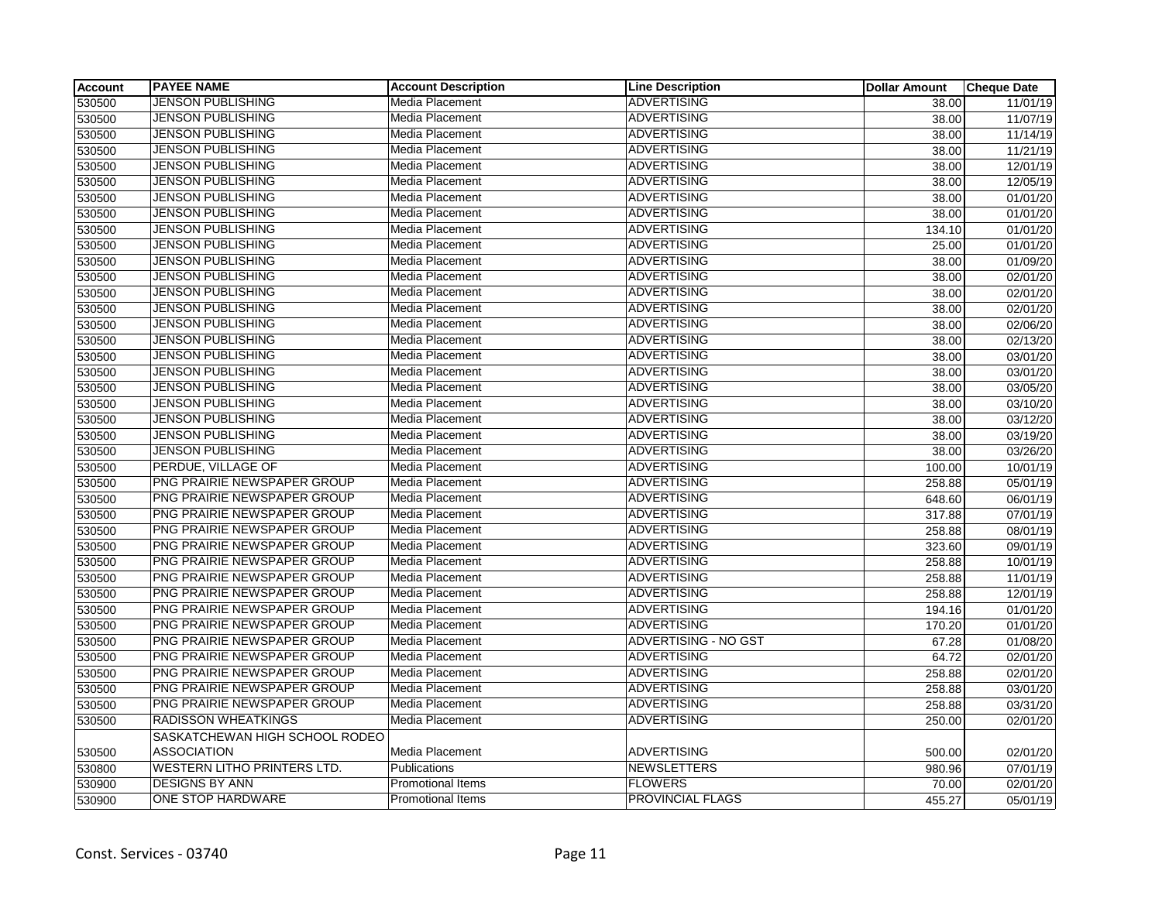| <b>Account</b> | <b>PAYEE NAME</b>                  | <b>Account Description</b> | <b>Line Description</b> | <b>Dollar Amount</b> | <b>Cheque Date</b> |
|----------------|------------------------------------|----------------------------|-------------------------|----------------------|--------------------|
| 530500         | <b>JENSON PUBLISHING</b>           | Media Placement            | <b>ADVERTISING</b>      | 38.00                | 11/01/19           |
| 530500         | <b>JENSON PUBLISHING</b>           | Media Placement            | <b>ADVERTISING</b>      | 38.00                | 11/07/19           |
| 530500         | <b>JENSON PUBLISHING</b>           | Media Placement            | <b>ADVERTISING</b>      | 38.00                | 11/14/19           |
| 530500         | <b>JENSON PUBLISHING</b>           | Media Placement            | <b>ADVERTISING</b>      | 38.00                | 11/21/19           |
| 530500         | <b>JENSON PUBLISHING</b>           | Media Placement            | <b>ADVERTISING</b>      | 38.00                | 12/01/19           |
| 530500         | <b>JENSON PUBLISHING</b>           | Media Placement            | <b>ADVERTISING</b>      | 38.00                | 12/05/19           |
| 530500         | JENSON PUBLISHING                  | Media Placement            | <b>ADVERTISING</b>      | 38.00                | 01/01/20           |
| 530500         | <b>JENSON PUBLISHING</b>           | Media Placement            | <b>ADVERTISING</b>      | 38.00                | 01/01/20           |
| 530500         | <b>JENSON PUBLISHING</b>           | Media Placement            | <b>ADVERTISING</b>      | 134.10               | 01/01/20           |
| 530500         | <b>JENSON PUBLISHING</b>           | Media Placement            | <b>ADVERTISING</b>      | 25.00                | 01/01/20           |
| 530500         | <b>JENSON PUBLISHING</b>           | Media Placement            | <b>ADVERTISING</b>      | 38.00                | 01/09/20           |
| 530500         | <b>JENSON PUBLISHING</b>           | Media Placement            | <b>ADVERTISING</b>      | 38.00                | 02/01/20           |
| 530500         | JENSON PUBLISHING                  | <b>Media Placement</b>     | <b>ADVERTISING</b>      | 38.00                | 02/01/20           |
| 530500         | <b>JENSON PUBLISHING</b>           | Media Placement            | <b>ADVERTISING</b>      | 38.00                | 02/01/20           |
| 530500         | <b>JENSON PUBLISHING</b>           | Media Placement            | <b>ADVERTISING</b>      | 38.00                | 02/06/20           |
| 530500         | <b>JENSON PUBLISHING</b>           | Media Placement            | <b>ADVERTISING</b>      | 38.00                | 02/13/20           |
| 530500         | <b>JENSON PUBLISHING</b>           | Media Placement            | <b>ADVERTISING</b>      | 38.00                | 03/01/20           |
| 530500         | <b>JENSON PUBLISHING</b>           | Media Placement            | <b>ADVERTISING</b>      | 38.00                | 03/01/20           |
| 530500         | <b>JENSON PUBLISHING</b>           | Media Placement            | <b>ADVERTISING</b>      | 38.00                | 03/05/20           |
| 530500         | <b>JENSON PUBLISHING</b>           | Media Placement            | <b>ADVERTISING</b>      | 38.00                | 03/10/20           |
| 530500         | <b>JENSON PUBLISHING</b>           | Media Placement            | <b>ADVERTISING</b>      | 38.00                | 03/12/20           |
| 530500         | <b>JENSON PUBLISHING</b>           | Media Placement            | <b>ADVERTISING</b>      | 38.00                | 03/19/20           |
| 530500         | <b>JENSON PUBLISHING</b>           | Media Placement            | <b>ADVERTISING</b>      | 38.00                | 03/26/20           |
| 530500         | PERDUE, VILLAGE OF                 | Media Placement            | <b>ADVERTISING</b>      | 100.00               | 10/01/19           |
| 530500         | PNG PRAIRIE NEWSPAPER GROUP        | Media Placement            | <b>ADVERTISING</b>      | 258.88               | 05/01/19           |
| 530500         | PNG PRAIRIE NEWSPAPER GROUP        | Media Placement            | <b>ADVERTISING</b>      | 648.60               | 06/01/19           |
| 530500         | PNG PRAIRIE NEWSPAPER GROUP        | Media Placement            | <b>ADVERTISING</b>      | 317.88               | 07/01/19           |
| 530500         | PNG PRAIRIE NEWSPAPER GROUP        | Media Placement            | <b>ADVERTISING</b>      | 258.88               | 08/01/19           |
| 530500         | PNG PRAIRIE NEWSPAPER GROUP        | Media Placement            | <b>ADVERTISING</b>      | 323.60               | 09/01/19           |
| 530500         | PNG PRAIRIE NEWSPAPER GROUP        | Media Placement            | <b>ADVERTISING</b>      | 258.88               | 10/01/19           |
| 530500         | PNG PRAIRIE NEWSPAPER GROUP        | Media Placement            | <b>ADVERTISING</b>      | 258.88               | 11/01/19           |
| 530500         | PNG PRAIRIE NEWSPAPER GROUP        | Media Placement            | <b>ADVERTISING</b>      | 258.88               | 12/01/19           |
| 530500         | PNG PRAIRIE NEWSPAPER GROUP        | Media Placement            | <b>ADVERTISING</b>      | 194.16               | 01/01/20           |
| 530500         | PNG PRAIRIE NEWSPAPER GROUP        | Media Placement            | <b>ADVERTISING</b>      | 170.20               | 01/01/20           |
| 530500         | PNG PRAIRIE NEWSPAPER GROUP        | Media Placement            | ADVERTISING - NO GST    | 67.28                | 01/08/20           |
| 530500         | PNG PRAIRIE NEWSPAPER GROUP        | Media Placement            | <b>ADVERTISING</b>      | 64.72                | 02/01/20           |
| 530500         | PNG PRAIRIE NEWSPAPER GROUP        | Media Placement            | <b>ADVERTISING</b>      | 258.88               | 02/01/20           |
| 530500         | PNG PRAIRIE NEWSPAPER GROUP        | Media Placement            | <b>ADVERTISING</b>      | 258.88               | 03/01/20           |
| 530500         | PNG PRAIRIE NEWSPAPER GROUP        | Media Placement            | <b>ADVERTISING</b>      | 258.88               | 03/31/20           |
| 530500         | <b>RADISSON WHEATKINGS</b>         | Media Placement            | <b>ADVERTISING</b>      | 250.00               | 02/01/20           |
|                | SASKATCHEWAN HIGH SCHOOL RODEO     |                            |                         |                      |                    |
| 530500         | <b>ASSOCIATION</b>                 | Media Placement            | <b>ADVERTISING</b>      | 500.00               | 02/01/20           |
| 530800         | <b>WESTERN LITHO PRINTERS LTD.</b> | Publications               | <b>NEWSLETTERS</b>      | 980.96               | 07/01/19           |
| 530900         | <b>DESIGNS BY ANN</b>              | Promotional Items          | <b>FLOWERS</b>          | 70.00                | 02/01/20           |
| 530900         | ONE STOP HARDWARE                  | <b>Promotional Items</b>   | <b>PROVINCIAL FLAGS</b> | 455.27               | 05/01/19           |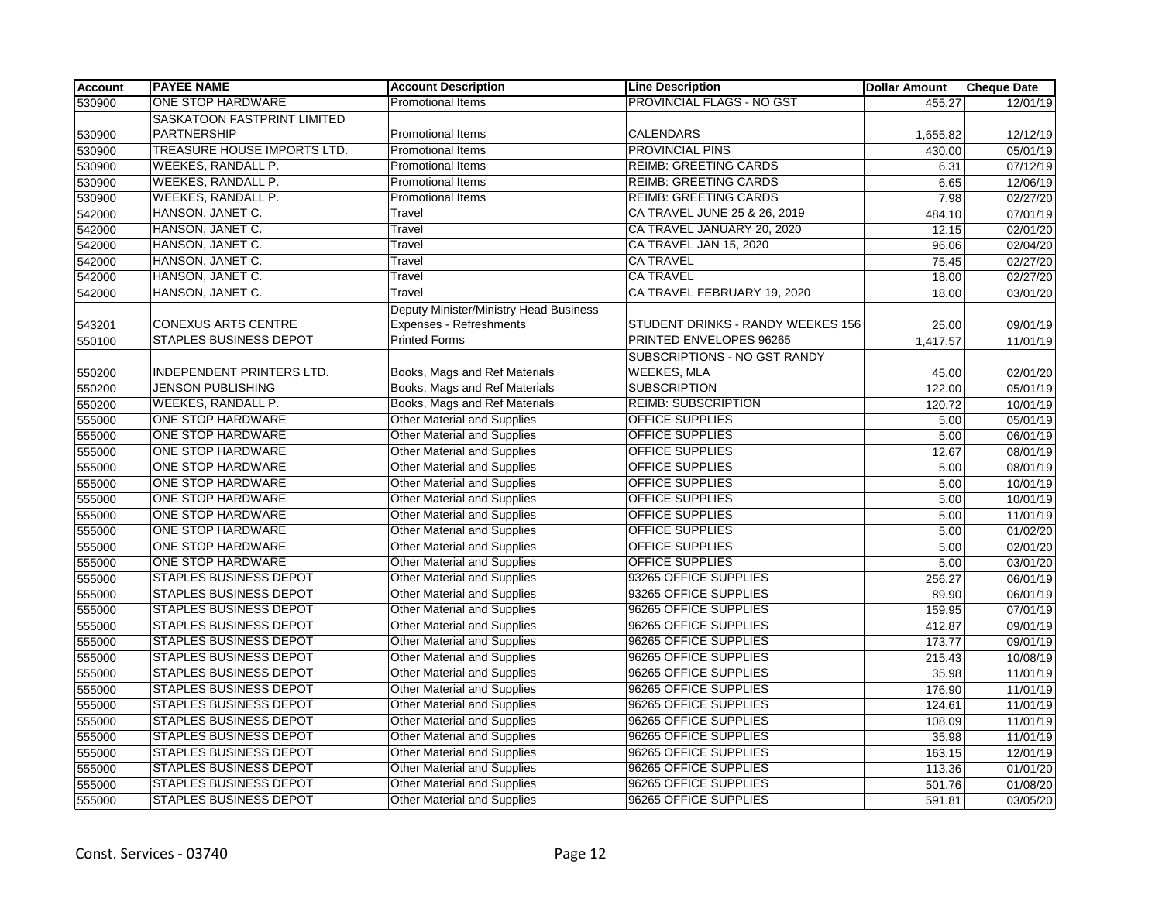| <b>Account</b> | <b>PAYEE NAME</b>                  | <b>Account Description</b>             | <b>Line Description</b>           | <b>Dollar Amount</b> | <b>Cheque Date</b> |
|----------------|------------------------------------|----------------------------------------|-----------------------------------|----------------------|--------------------|
| 530900         | ONE STOP HARDWARE                  | <b>Promotional Items</b>               | <b>PROVINCIAL FLAGS - NO GST</b>  | 455.27               | 12/01/19           |
|                | SASKATOON FASTPRINT LIMITED        |                                        |                                   |                      |                    |
| 530900         | <b>PARTNERSHIP</b>                 | <b>Promotional Items</b>               | <b>CALENDARS</b>                  | 1,655.82             | 12/12/19           |
| 530900         | <b>TREASURE HOUSE IMPORTS LTD.</b> | <b>Promotional Items</b>               | <b>PROVINCIAL PINS</b>            | 430.00               | 05/01/19           |
| 530900         | <b>WEEKES, RANDALL P.</b>          | Promotional Items                      | <b>REIMB: GREETING CARDS</b>      | 6.31                 | 07/12/19           |
| 530900         | <b>WEEKES, RANDALL P.</b>          | Promotional Items                      | <b>REIMB: GREETING CARDS</b>      | 6.65                 | 12/06/19           |
| 530900         | WEEKES, RANDALL P.                 | <b>Promotional Items</b>               | <b>REIMB: GREETING CARDS</b>      | 7.98                 | 02/27/20           |
| 542000         | HANSON, JANET C.                   | Travel                                 | CA TRAVEL JUNE 25 & 26, 2019      | 484.10               | 07/01/19           |
| 542000         | HANSON, JANET C.                   | Travel                                 | CA TRAVEL JANUARY 20, 2020        | 12.15                | 02/01/20           |
| 542000         | HANSON, JANET C.                   | Travel                                 | CA TRAVEL JAN 15, 2020            | 96.06                | 02/04/20           |
| 542000         | HANSON, JANET C.                   | Travel                                 | <b>CA TRAVEL</b>                  | 75.45                | 02/27/20           |
| 542000         | HANSON, JANET C.                   | Travel                                 | <b>CA TRAVEL</b>                  | 18.00                | 02/27/20           |
| 542000         | HANSON, JANET C.                   | Travel                                 | CA TRAVEL FEBRUARY 19, 2020       | 18.00                | 03/01/20           |
|                |                                    | Deputy Minister/Ministry Head Business |                                   |                      |                    |
| 543201         | CONEXUS ARTS CENTRE                | Expenses - Refreshments                | STUDENT DRINKS - RANDY WEEKES 156 | 25.00                | 09/01/19           |
| 550100         | <b>STAPLES BUSINESS DEPOT</b>      | <b>Printed Forms</b>                   | PRINTED ENVELOPES 96265           | 1,417.57             | 11/01/19           |
|                |                                    |                                        | SUBSCRIPTIONS - NO GST RANDY      |                      |                    |
| 550200         | INDEPENDENT PRINTERS LTD.          | Books, Mags and Ref Materials          | WEEKES, MLA                       | 45.00                | 02/01/20           |
| 550200         | <b>JENSON PUBLISHING</b>           | Books, Mags and Ref Materials          | <b>SUBSCRIPTION</b>               | 122.00               | 05/01/19           |
| 550200         | WEEKES, RANDALL P.                 | Books, Mags and Ref Materials          | <b>REIMB: SUBSCRIPTION</b>        | 120.72               | 10/01/19           |
| 555000         | <b>ONE STOP HARDWARE</b>           | <b>Other Material and Supplies</b>     | OFFICE SUPPLIES                   | 5.00                 | 05/01/19           |
| 555000         | ONE STOP HARDWARE                  | <b>Other Material and Supplies</b>     | <b>OFFICE SUPPLIES</b>            | 5.00                 | 06/01/19           |
| 555000         | ONE STOP HARDWARE                  | <b>Other Material and Supplies</b>     | <b>OFFICE SUPPLIES</b>            | 12.67                | 08/01/19           |
| 555000         | ONE STOP HARDWARE                  | <b>Other Material and Supplies</b>     | <b>OFFICE SUPPLIES</b>            | 5.00                 | 08/01/19           |
| 555000         | <b>ONE STOP HARDWARE</b>           | <b>Other Material and Supplies</b>     | <b>OFFICE SUPPLIES</b>            | 5.00                 | 10/01/19           |
| 555000         | ONE STOP HARDWARE                  | <b>Other Material and Supplies</b>     | OFFICE SUPPLIES                   | 5.00                 | 10/01/19           |
| 555000         | ONE STOP HARDWARE                  | <b>Other Material and Supplies</b>     | OFFICE SUPPLIES                   | 5.00                 | 11/01/19           |
| 555000         | ONE STOP HARDWARE                  | <b>Other Material and Supplies</b>     | <b>OFFICE SUPPLIES</b>            | 5.00                 | 01/02/20           |
| 555000         | ONE STOP HARDWARE                  | <b>Other Material and Supplies</b>     | <b>OFFICE SUPPLIES</b>            | 5.00                 | 02/01/20           |
| 555000         | ONE STOP HARDWARE                  | Other Material and Supplies            | <b>OFFICE SUPPLIES</b>            | 5.00                 | 03/01/20           |
| 555000         | <b>STAPLES BUSINESS DEPOT</b>      | <b>Other Material and Supplies</b>     | 93265 OFFICE SUPPLIES             | 256.27               | 06/01/19           |
| 555000         | <b>STAPLES BUSINESS DEPOT</b>      | Other Material and Supplies            | 93265 OFFICE SUPPLIES             | 89.90                | 06/01/19           |
| 555000         | <b>STAPLES BUSINESS DEPOT</b>      | Other Material and Supplies            | 96265 OFFICE SUPPLIES             | 159.95               | 07/01/19           |
| 555000         | <b>STAPLES BUSINESS DEPOT</b>      | <b>Other Material and Supplies</b>     | 96265 OFFICE SUPPLIES             | 412.87               | 09/01/19           |
| 555000         | <b>STAPLES BUSINESS DEPOT</b>      | <b>Other Material and Supplies</b>     | 96265 OFFICE SUPPLIES             | 173.77               | 09/01/19           |
| 555000         | <b>STAPLES BUSINESS DEPOT</b>      | <b>Other Material and Supplies</b>     | 96265 OFFICE SUPPLIES             | 215.43               | 10/08/19           |
| 555000         | <b>STAPLES BUSINESS DEPOT</b>      | Other Material and Supplies            | 96265 OFFICE SUPPLIES             | 35.98                | 11/01/19           |
| 555000         | <b>STAPLES BUSINESS DEPOT</b>      | <b>Other Material and Supplies</b>     | 96265 OFFICE SUPPLIES             | 176.90               | 11/01/19           |
| 555000         | <b>STAPLES BUSINESS DEPOT</b>      | <b>Other Material and Supplies</b>     | 96265 OFFICE SUPPLIES             | 124.61               | 11/01/19           |
| 555000         | <b>STAPLES BUSINESS DEPOT</b>      | Other Material and Supplies            | 96265 OFFICE SUPPLIES             | 108.09               | 11/01/19           |
| 555000         | <b>STAPLES BUSINESS DEPOT</b>      | <b>Other Material and Supplies</b>     | 96265 OFFICE SUPPLIES             | 35.98                | 11/01/19           |
| 555000         | <b>STAPLES BUSINESS DEPOT</b>      | Other Material and Supplies            | 96265 OFFICE SUPPLIES             | 163.15               | 12/01/19           |
| 555000         | <b>STAPLES BUSINESS DEPOT</b>      | <b>Other Material and Supplies</b>     | 96265 OFFICE SUPPLIES             | 113.36               | 01/01/20           |
| 555000         | <b>STAPLES BUSINESS DEPOT</b>      | <b>Other Material and Supplies</b>     | 96265 OFFICE SUPPLIES             | 501.76               | 01/08/20           |
| 555000         | <b>STAPLES BUSINESS DEPOT</b>      | <b>Other Material and Supplies</b>     | 96265 OFFICE SUPPLIES             | 591.81               | 03/05/20           |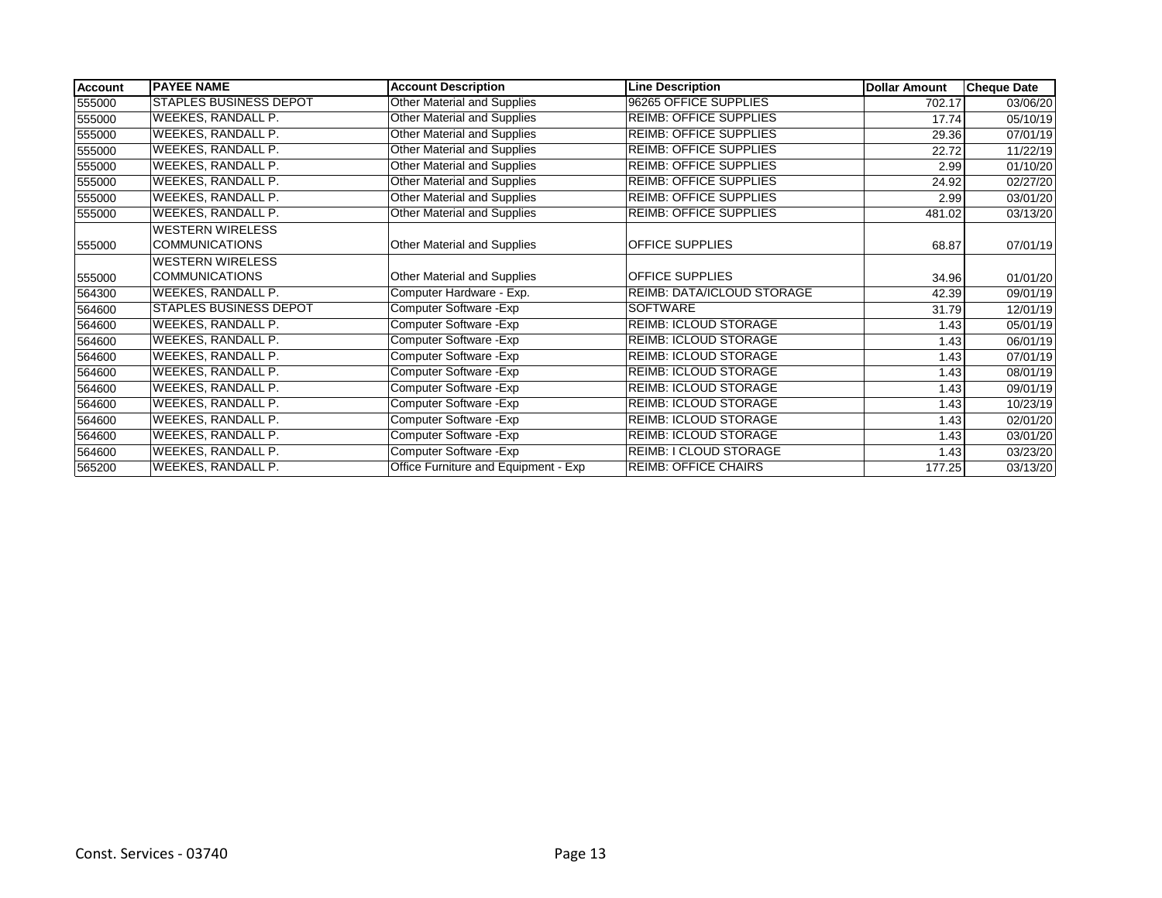| <b>Account</b> | <b>PAYEE NAME</b>             | <b>Account Description</b>           | <b>Line Description</b>       | <b>Dollar Amount</b> | <b>Cheque Date</b> |
|----------------|-------------------------------|--------------------------------------|-------------------------------|----------------------|--------------------|
| 555000         | <b>STAPLES BUSINESS DEPOT</b> | Other Material and Supplies          | 96265 OFFICE SUPPLIES         | 702.17               | 03/06/20           |
| 555000         | WEEKES, RANDALL P.            | Other Material and Supplies          | <b>REIMB: OFFICE SUPPLIES</b> | 17.74                | 05/10/19           |
| 555000         | WEEKES, RANDALL P.            | Other Material and Supplies          | <b>REIMB: OFFICE SUPPLIES</b> | 29.36                | 07/01/19           |
| 555000         | WEEKES, RANDALL P.            | Other Material and Supplies          | <b>REIMB: OFFICE SUPPLIES</b> | 22.72                | 11/22/19           |
| 555000         | WEEKES, RANDALL P.            | Other Material and Supplies          | <b>REIMB: OFFICE SUPPLIES</b> | 2.99                 | 01/10/20           |
| 555000         | WEEKES, RANDALL P.            | Other Material and Supplies          | <b>REIMB: OFFICE SUPPLIES</b> | 24.92                | 02/27/20           |
| 555000         | WEEKES, RANDALL P.            | Other Material and Supplies          | <b>REIMB: OFFICE SUPPLIES</b> | 2.99                 | 03/01/20           |
| 555000         | WEEKES, RANDALL P.            | Other Material and Supplies          | <b>REIMB: OFFICE SUPPLIES</b> | 481.02               | 03/13/20           |
|                | <b>WESTERN WIRELESS</b>       |                                      |                               |                      |                    |
| 555000         | <b>COMMUNICATIONS</b>         | Other Material and Supplies          | <b>OFFICE SUPPLIES</b>        | 68.87                | 07/01/19           |
|                | <b>WESTERN WIRELESS</b>       |                                      |                               |                      |                    |
| 555000         | <b>COMMUNICATIONS</b>         | Other Material and Supplies          | <b>OFFICE SUPPLIES</b>        | 34.96                | 01/01/20           |
| 564300         | WEEKES, RANDALL P.            | Computer Hardware - Exp.             | REIMB: DATA/ICLOUD STORAGE    | 42.39                | 09/01/19           |
| 564600         | <b>STAPLES BUSINESS DEPOT</b> | Computer Software - Exp              | SOFTWARE                      | 31.79                | 12/01/19           |
| 564600         | WEEKES, RANDALL P.            | Computer Software - Exp              | REIMB: ICLOUD STORAGE         | 1.43                 | 05/01/19           |
| 564600         | WEEKES, RANDALL P.            | Computer Software - Exp              | <b>REIMB: ICLOUD STORAGE</b>  | 1.43                 | 06/01/19           |
| 564600         | WEEKES, RANDALL P.            | Computer Software - Exp              | <b>REIMB: ICLOUD STORAGE</b>  | 1.43                 | 07/01/19           |
| 564600         | WEEKES, RANDALL P.            | Computer Software - Exp              | REIMB: ICLOUD STORAGE         | 1.43                 | 08/01/19           |
| 564600         | WEEKES, RANDALL P.            | Computer Software - Exp              | REIMB: ICLOUD STORAGE         | 1.43                 | 09/01/19           |
| 564600         | WEEKES, RANDALL P.            | Computer Software - Exp              | REIMB: ICLOUD STORAGE         | 1.43                 | 10/23/19           |
| 564600         | WEEKES, RANDALL P.            | Computer Software - Exp              | REIMB: ICLOUD STORAGE         | 1.43                 | 02/01/20           |
| 564600         | WEEKES, RANDALL P.            | Computer Software - Exp              | <b>REIMB: ICLOUD STORAGE</b>  | 1.43                 | 03/01/20           |
| 564600         | WEEKES, RANDALL P.            | Computer Software - Exp              | <b>REIMB: I CLOUD STORAGE</b> | 1.43                 | 03/23/20           |
| 565200         | WEEKES, RANDALL P.            | Office Furniture and Equipment - Exp | <b>REIMB: OFFICE CHAIRS</b>   | 177.25               | 03/13/20           |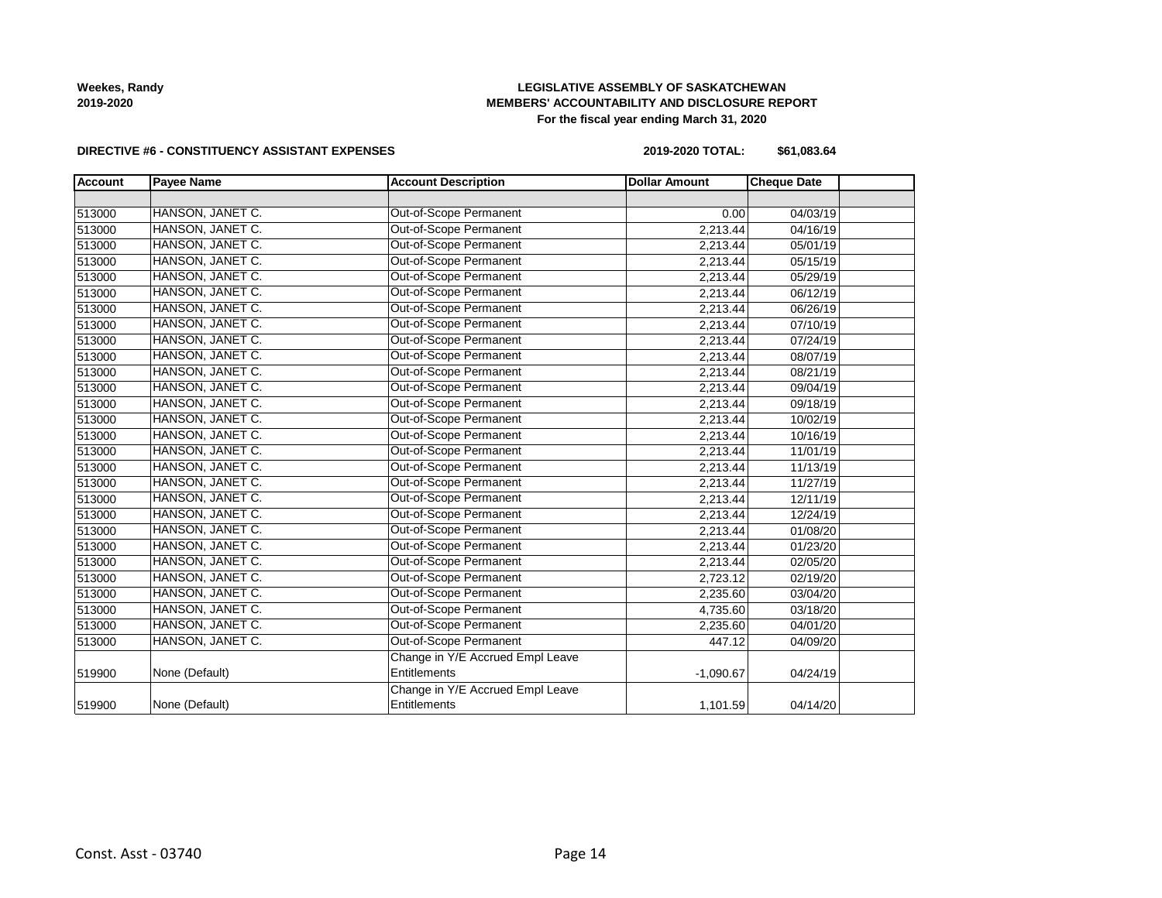

### **LEGISLATIVE ASSEMBLY OF SASKATCHEWAN MEMBERS' ACCOUNTABILITY AND DISCLOSURE REPORT For the fiscal year ending March 31, 2020**

### **DIRECTIVE #6 - CONSTITUENCY ASSISTANT EXPENSES**

**2019-2020 TOTAL: \$61,083.64**

| <b>Account</b> | <b>Payee Name</b> | <b>Account Description</b>       | <b>Dollar Amount</b> | <b>Cheque Date</b> |  |
|----------------|-------------------|----------------------------------|----------------------|--------------------|--|
|                |                   |                                  |                      |                    |  |
| 513000         | HANSON, JANET C.  | Out-of-Scope Permanent           | 0.00                 | 04/03/19           |  |
| 513000         | HANSON, JANET C.  | Out-of-Scope Permanent           | 2,213.44             | 04/16/19           |  |
| 513000         | HANSON, JANET C.  | Out-of-Scope Permanent           | 2,213.44             | 05/01/19           |  |
| 513000         | HANSON, JANET C.  | Out-of-Scope Permanent           | 2,213.44             | 05/15/19           |  |
| 513000         | HANSON, JANET C.  | Out-of-Scope Permanent           | 2,213.44             | 05/29/19           |  |
| 513000         | HANSON, JANET C.  | Out-of-Scope Permanent           | 2,213.44             | 06/12/19           |  |
| 513000         | HANSON, JANET C.  | <b>Out-of-Scope Permanent</b>    | 2,213.44             | 06/26/19           |  |
| 513000         | HANSON, JANET C.  | Out-of-Scope Permanent           | 2,213.44             | 07/10/19           |  |
| 513000         | HANSON, JANET C.  | Out-of-Scope Permanent           | 2,213.44             | 07/24/19           |  |
| 513000         | HANSON, JANET C.  | Out-of-Scope Permanent           | 2,213.44             | 08/07/19           |  |
| 513000         | HANSON, JANET C.  | <b>Out-of-Scope Permanent</b>    | 2,213.44             | 08/21/19           |  |
| 513000         | HANSON, JANET C.  | Out-of-Scope Permanent           | 2,213.44             | 09/04/19           |  |
| 513000         | HANSON, JANET C.  | Out-of-Scope Permanent           | 2,213.44             | 09/18/19           |  |
| 513000         | HANSON, JANET C.  | Out-of-Scope Permanent           | 2,213.44             | 10/02/19           |  |
| 513000         | HANSON, JANET C.  | Out-of-Scope Permanent           | 2,213.44             | 10/16/19           |  |
| 513000         | HANSON, JANET C.  | Out-of-Scope Permanent           | 2,213.44             | 11/01/19           |  |
| 513000         | HANSON, JANET C.  | Out-of-Scope Permanent           | 2,213.44             | 11/13/19           |  |
| 513000         | HANSON, JANET C.  | Out-of-Scope Permanent           | 2,213.44             | 11/27/19           |  |
| 513000         | HANSON, JANET C.  | Out-of-Scope Permanent           | 2,213.44             | 12/11/19           |  |
| 513000         | HANSON, JANET C.  | Out-of-Scope Permanent           | 2,213.44             | 12/24/19           |  |
| 513000         | HANSON, JANET C.  | Out-of-Scope Permanent           | 2,213.44             | 01/08/20           |  |
| 513000         | HANSON, JANET C.  | Out-of-Scope Permanent           | 2,213.44             | 01/23/20           |  |
| 513000         | HANSON, JANET C.  | Out-of-Scope Permanent           | 2,213.44             | 02/05/20           |  |
| 513000         | HANSON, JANET C.  | Out-of-Scope Permanent           | 2,723.12             | 02/19/20           |  |
| 513000         | HANSON, JANET C.  | Out-of-Scope Permanent           | 2,235.60             | 03/04/20           |  |
| 513000         | HANSON, JANET C.  | Out-of-Scope Permanent           | 4,735.60             | 03/18/20           |  |
| 513000         | HANSON, JANET C.  | Out-of-Scope Permanent           | 2,235.60             | 04/01/20           |  |
| 513000         | HANSON, JANET C.  | Out-of-Scope Permanent           | 447.12               | 04/09/20           |  |
|                |                   | Change in Y/E Accrued Empl Leave |                      |                    |  |
| 519900         | None (Default)    | Entitlements                     | $-1,090.67$          | 04/24/19           |  |
|                |                   | Change in Y/E Accrued Empl Leave |                      |                    |  |
| 519900         | None (Default)    | Entitlements                     | 1,101.59             | 04/14/20           |  |